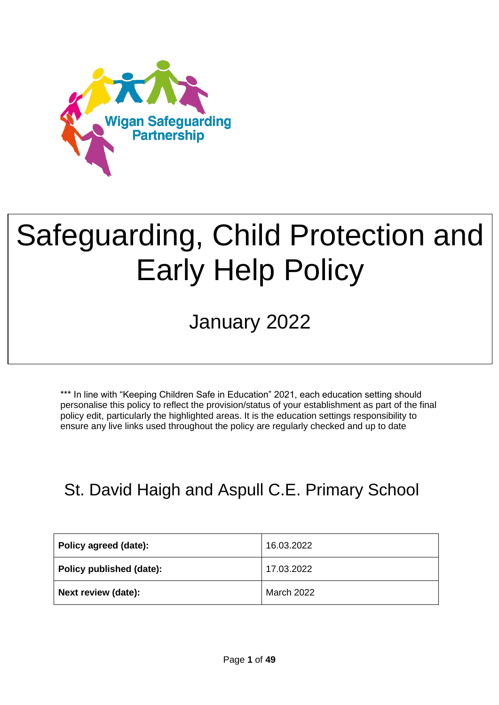

# Safeguarding, Child Protection and Early Help Policy

# January 2022

\*\*\* In line with "Keeping Children Safe in Education" 2021, each education setting should personalise this policy to reflect the provision/status of your establishment as part of the final policy edit, particularly the highlighted areas. It is the education settings responsibility to ensure any live links used throughout the policy are regularly checked and up to date

### St. David Haigh and Aspull C.E. Primary School

| Policy agreed (date):    | 16.03.2022        |
|--------------------------|-------------------|
| Policy published (date): | 17.03.2022        |
| Next review (date):      | <b>March 2022</b> |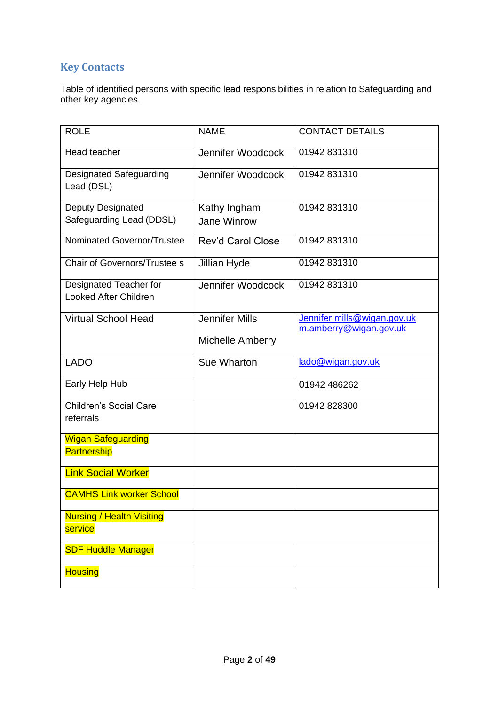#### **Key Contacts**

Table of identified persons with specific lead responsibilities in relation to Safeguarding and other key agencies.

| <b>ROLE</b>                                            | <b>NAME</b>                                      | <b>CONTACT DETAILS</b>                                |
|--------------------------------------------------------|--------------------------------------------------|-------------------------------------------------------|
| Head teacher                                           | Jennifer Woodcock                                | 01942 831310                                          |
| Designated Safeguarding<br>Lead (DSL)                  | Jennifer Woodcock                                | 01942 831310                                          |
| Deputy Designated<br>Safeguarding Lead (DDSL)          | Kathy Ingham<br>Jane Winrow                      | 01942 831310                                          |
| Nominated Governor/Trustee                             | <b>Rev'd Carol Close</b>                         | 01942 831310                                          |
| Chair of Governors/Trustee s                           | Jillian Hyde                                     | 01942 831310                                          |
| Designated Teacher for<br><b>Looked After Children</b> | Jennifer Woodcock                                | 01942 831310                                          |
| <b>Virtual School Head</b>                             | <b>Jennifer Mills</b><br><b>Michelle Amberry</b> | Jennifer.mills@wigan.gov.uk<br>m.amberry@wigan.gov.uk |
| <b>LADO</b>                                            | Sue Wharton                                      | lado@wigan.gov.uk                                     |
| Early Help Hub                                         |                                                  | 01942 486262                                          |
| <b>Children's Social Care</b><br>referrals             |                                                  | 01942 828300                                          |
| <b>Wigan Safeguarding</b><br><b>Partnership</b>        |                                                  |                                                       |
| <b>Link Social Worker</b>                              |                                                  |                                                       |
| <b>CAMHS Link worker School</b>                        |                                                  |                                                       |
| <b>Nursing / Health Visiting</b><br>service            |                                                  |                                                       |
| <b>SDF Huddle Manager</b>                              |                                                  |                                                       |
| <b>Housing</b>                                         |                                                  |                                                       |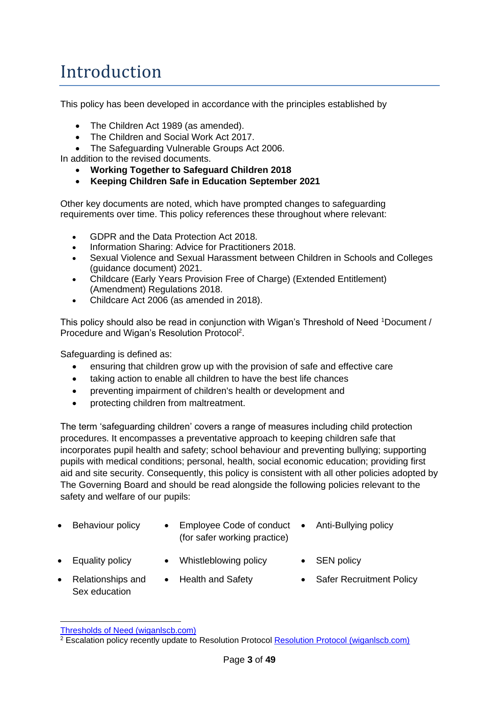### Introduction

This policy has been developed in accordance with the principles established by

- The Children Act 1989 (as amended).
- The Children and Social Work Act 2017.

• The Safeguarding Vulnerable Groups Act 2006.

In addition to the revised documents.

- **Working Together to Safeguard Children 2018**
- **Keeping Children Safe in Education September 2021**

Other key documents are noted, which have prompted changes to safeguarding requirements over time. This policy references these throughout where relevant:

- GDPR and the Data Protection Act 2018.
- Information Sharing: Advice for Practitioners 2018.
- Sexual Violence and Sexual Harassment between Children in Schools and Colleges (guidance document) 2021.
- Childcare (Early Years Provision Free of Charge) (Extended Entitlement) (Amendment) Regulations 2018.
- Childcare Act 2006 (as amended in 2018).

This policy should also be read in conjunction with Wigan's Threshold of Need <sup>1</sup>Document / Procedure and Wigan's Resolution Protocol<sup>2</sup>.

Safeguarding is defined as:

- ensuring that children grow up with the provision of safe and effective care
- taking action to enable all children to have the best life chances
- preventing impairment of children's health or development and
- protecting children from maltreatment.

The term 'safeguarding children' covers a range of measures including child protection procedures. It encompasses a preventative approach to keeping children safe that incorporates pupil health and safety; school behaviour and preventing bullying; supporting pupils with medical conditions; personal, health, social economic education; providing first aid and site security. Consequently, this policy is consistent with all other policies adopted by The Governing Board and should be read alongside the following policies relevant to the safety and welfare of our pupils:

- 
- Behaviour policy Employee Code of conduct Anti-Bullying policy (for safer working practice)
	-

- 
- Equality policy Whistleblowing policy SEN policy
- Relationships and Sex education
- 
- Health and Safety Safer Recruitment Policy
- [Thresholds of Need \(wiganlscb.com\)](https://www.wiganlscb.com/Professionals/Thresholds-of-Need-in-Wigan.aspx)

 $2$  Escalation policy recently update to Resolution Protocol [Resolution Protocol \(wiganlscb.com\)](https://www.wiganlscb.com/Docs/PDF/Professional/Resolution-Protocol.pdf)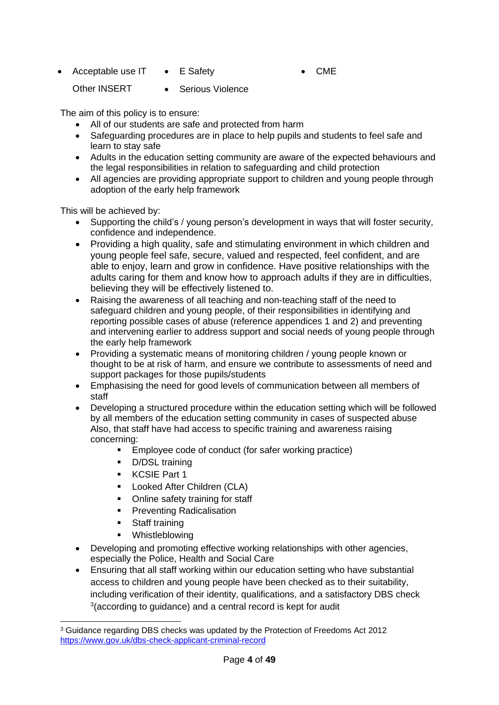• Acceptable use IT • E Safety

• CME

Other INSERT

• Serious Violence

The aim of this policy is to ensure:

- All of our students are safe and protected from harm
- Safeguarding procedures are in place to help pupils and students to feel safe and learn to stay safe
- Adults in the education setting community are aware of the expected behaviours and the legal responsibilities in relation to safeguarding and child protection
- All agencies are providing appropriate support to children and young people through adoption of the early help framework

This will be achieved by:

- Supporting the child's / young person's development in ways that will foster security, confidence and independence.
- Providing a high quality, safe and stimulating environment in which children and young people feel safe, secure, valued and respected, feel confident, and are able to enjoy, learn and grow in confidence. Have positive relationships with the adults caring for them and know how to approach adults if they are in difficulties, believing they will be effectively listened to.
- Raising the awareness of all teaching and non-teaching staff of the need to safeguard children and young people, of their responsibilities in identifying and reporting possible cases of abuse (reference appendices 1 and 2) and preventing and intervening earlier to address support and social needs of young people through the early help framework
- Providing a systematic means of monitoring children / young people known or thought to be at risk of harm, and ensure we contribute to assessments of need and support packages for those pupils/students
- Emphasising the need for good levels of communication between all members of staff
- Developing a structured procedure within the education setting which will be followed by all members of the education setting community in cases of suspected abuse Also, that staff have had access to specific training and awareness raising concerning:
	- Employee code of conduct (for safer working practice)
	- D/DSL training
	- KCSIE Part 1
	- Looked After Children (CLA)
	- Online safety training for staff
	- **•** Preventing Radicalisation
	- Staff training
	- Whistleblowing
- Developing and promoting effective working relationships with other agencies, especially the Police, Health and Social Care
- Ensuring that all staff working within our education setting who have substantial access to children and young people have been checked as to their suitability, including verification of their identity, qualifications, and a satisfactory DBS check 3 (according to guidance) and a central record is kept for audit

<sup>3</sup> Guidance regarding DBS checks was updated by the Protection of Freedoms Act 2012 <https://www.gov.uk/dbs-check-applicant-criminal-record>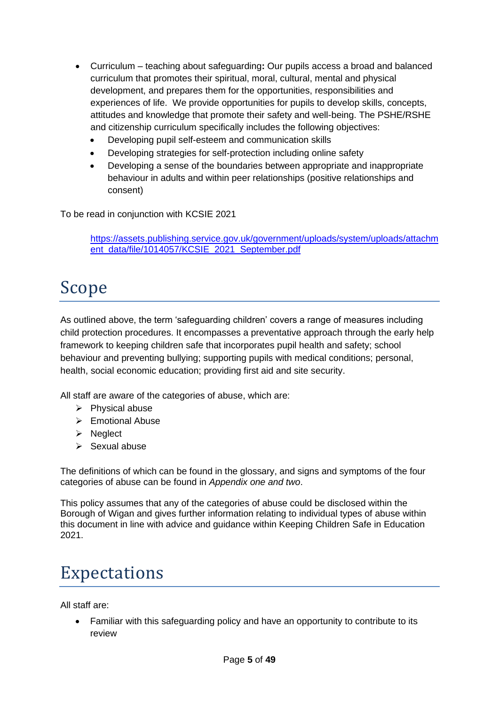- Curriculum teaching about safeguarding**:** Our pupils access a broad and balanced curriculum that promotes their spiritual, moral, cultural, mental and physical development, and prepares them for the opportunities, responsibilities and experiences of life. We provide opportunities for pupils to develop skills, concepts, attitudes and knowledge that promote their safety and well-being. The PSHE/RSHE and citizenship curriculum specifically includes the following objectives:
	- Developing pupil self-esteem and communication skills
	- Developing strategies for self-protection including online safety
	- Developing a sense of the boundaries between appropriate and inappropriate behaviour in adults and within peer relationships (positive relationships and consent)

To be read in conjunction with KCSIE 2021

[https://assets.publishing.service.gov.uk/government/uploads/system/uploads/attachm](https://assets.publishing.service.gov.uk/government/uploads/system/uploads/attachment_data/file/1014057/KCSIE_2021_September.pdf) [ent\\_data/file/1014057/KCSIE\\_2021\\_September.pdf](https://assets.publishing.service.gov.uk/government/uploads/system/uploads/attachment_data/file/1014057/KCSIE_2021_September.pdf)

### Scope

As outlined above, the term 'safeguarding children' covers a range of measures including child protection procedures. It encompasses a preventative approach through the early help framework to keeping children safe that incorporates pupil health and safety; school behaviour and preventing bullying; supporting pupils with medical conditions; personal, health, social economic education; providing first aid and site security.

All staff are aware of the categories of abuse, which are:

- ➢ Physical abuse
- ➢ Emotional Abuse
- ➢ Neglect
- ➢ Sexual abuse

The definitions of which can be found in the glossary, and signs and symptoms of the four categories of abuse can be found in *Appendix one and two*.

This policy assumes that any of the categories of abuse could be disclosed within the Borough of Wigan and gives further information relating to individual types of abuse within this document in line with advice and guidance within Keeping Children Safe in Education 2021.

### Expectations

All staff are:

• Familiar with this safeguarding policy and have an opportunity to contribute to its review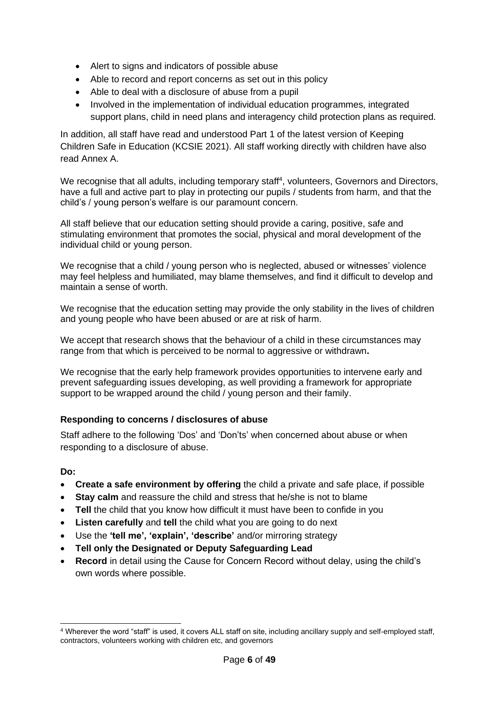- Alert to signs and indicators of possible abuse
- Able to record and report concerns as set out in this policy
- Able to deal with a disclosure of abuse from a pupil
- Involved in the implementation of individual education programmes, integrated support plans, child in need plans and interagency child protection plans as required.

In addition, all staff have read and understood Part 1 of the latest version of Keeping Children Safe in Education (KCSIE 2021). All staff working directly with children have also read Annex A.

We recognise that all adults, including temporary staff<sup>4</sup>, volunteers, Governors and Directors, have a full and active part to play in protecting our pupils / students from harm, and that the child's / young person's welfare is our paramount concern.

All staff believe that our education setting should provide a caring, positive, safe and stimulating environment that promotes the social, physical and moral development of the individual child or young person.

We recognise that a child / young person who is neglected, abused or witnesses' violence may feel helpless and humiliated, may blame themselves, and find it difficult to develop and maintain a sense of worth.

We recognise that the education setting may provide the only stability in the lives of children and young people who have been abused or are at risk of harm.

We accept that research shows that the behaviour of a child in these circumstances may range from that which is perceived to be normal to aggressive or withdrawn**.** 

We recognise that the early help framework provides opportunities to intervene early and prevent safeguarding issues developing, as well providing a framework for appropriate support to be wrapped around the child / young person and their family.

#### **Responding to concerns / disclosures of abuse**

Staff adhere to the following 'Dos' and 'Don'ts' when concerned about abuse or when responding to a disclosure of abuse.

#### **Do:**

- **Create a safe environment by offering** the child a private and safe place, if possible
- **Stay calm** and reassure the child and stress that he/she is not to blame
- **Tell** the child that you know how difficult it must have been to confide in you
- **Listen carefully** and **tell** the child what you are going to do next
- Use the **'tell me', 'explain', 'describe'** and/or mirroring strategy
- **Tell only the Designated or Deputy Safeguarding Lead**
- **Record** in detail using the Cause for Concern Record without delay, using the child's own words where possible.

<sup>4</sup> Wherever the word "staff" is used, it covers ALL staff on site, including ancillary supply and self-employed staff, contractors, volunteers working with children etc, and governors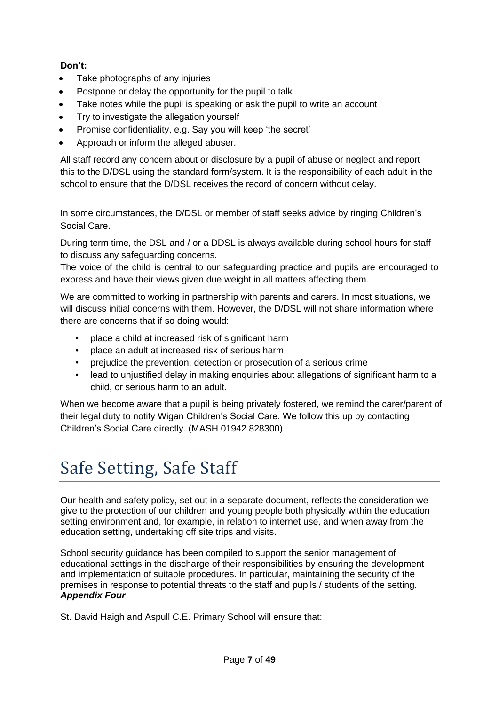#### **Don't:**

- Take photographs of any injuries
- Postpone or delay the opportunity for the pupil to talk
- Take notes while the pupil is speaking or ask the pupil to write an account
- Try to investigate the allegation yourself
- Promise confidentiality, e.g. Say you will keep 'the secret'
- Approach or inform the alleged abuser.

All staff record any concern about or disclosure by a pupil of abuse or neglect and report this to the D/DSL using the standard form/system. It is the responsibility of each adult in the school to ensure that the D/DSL receives the record of concern without delay.

In some circumstances, the D/DSL or member of staff seeks advice by ringing Children's Social Care.

During term time, the DSL and / or a DDSL is always available during school hours for staff to discuss any safeguarding concerns.

The voice of the child is central to our safeguarding practice and pupils are encouraged to express and have their views given due weight in all matters affecting them.

We are committed to working in partnership with parents and carers. In most situations, we will discuss initial concerns with them. However, the D/DSL will not share information where there are concerns that if so doing would:

- place a child at increased risk of significant harm
- place an adult at increased risk of serious harm
- prejudice the prevention, detection or prosecution of a serious crime
- lead to unjustified delay in making enquiries about allegations of significant harm to a child, or serious harm to an adult.

When we become aware that a pupil is being privately fostered, we remind the carer/parent of their legal duty to notify Wigan Children's Social Care. We follow this up by contacting Children's Social Care directly. (MASH 01942 828300)

# Safe Setting, Safe Staff

Our health and safety policy, set out in a separate document, reflects the consideration we give to the protection of our children and young people both physically within the education setting environment and, for example, in relation to internet use, and when away from the education setting, undertaking off site trips and visits.

School security guidance has been compiled to support the senior management of educational settings in the discharge of their responsibilities by ensuring the development and implementation of suitable procedures. In particular, maintaining the security of the premises in response to potential threats to the staff and pupils / students of the setting. *Appendix Four*

St. David Haigh and Aspull C.E. Primary School will ensure that: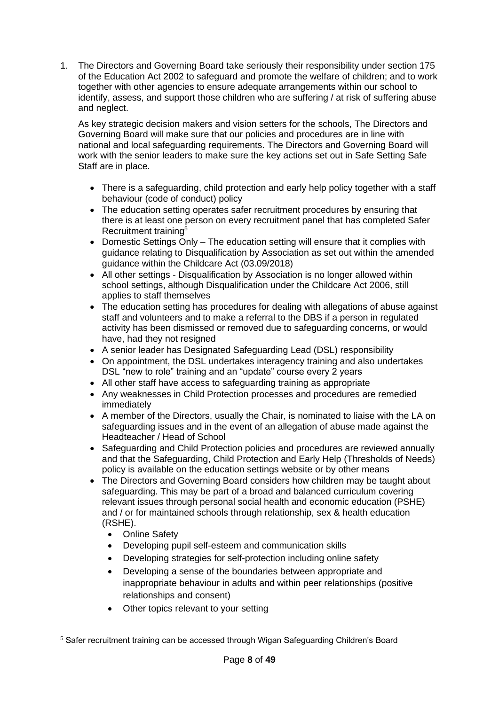1. The Directors and Governing Board take seriously their responsibility under section 175 of the Education Act 2002 to safeguard and promote the welfare of children; and to work together with other agencies to ensure adequate arrangements within our school to identify, assess, and support those children who are suffering / at risk of suffering abuse and neglect.

As key strategic decision makers and vision setters for the schools, The Directors and Governing Board will make sure that our policies and procedures are in line with national and local safeguarding requirements. The Directors and Governing Board will work with the senior leaders to make sure the key actions set out in Safe Setting Safe Staff are in place.

- There is a safeguarding, child protection and early help policy together with a staff behaviour (code of conduct) policy
- The education setting operates safer recruitment procedures by ensuring that there is at least one person on every recruitment panel that has completed Safer Recruitment training<sup>5</sup>
- Domestic Settings Only The education setting will ensure that it complies with guidance relating to Disqualification by Association as set out within the amended guidance within the Childcare Act (03.09/2018)
- All other settings Disqualification by Association is no longer allowed within school settings, although Disqualification under the Childcare Act 2006, still applies to staff themselves
- The education setting has procedures for dealing with allegations of abuse against staff and volunteers and to make a referral to the DBS if a person in regulated activity has been dismissed or removed due to safeguarding concerns, or would have, had they not resigned
- A senior leader has Designated Safeguarding Lead (DSL) responsibility
- On appointment, the DSL undertakes interagency training and also undertakes DSL "new to role" training and an "update" course every 2 years
- All other staff have access to safeguarding training as appropriate
- Any weaknesses in Child Protection processes and procedures are remedied immediately
- A member of the Directors, usually the Chair, is nominated to liaise with the LA on safeguarding issues and in the event of an allegation of abuse made against the Headteacher / Head of School
- Safeguarding and Child Protection policies and procedures are reviewed annually and that the Safeguarding, Child Protection and Early Help (Thresholds of Needs) policy is available on the education settings website or by other means
- The Directors and Governing Board considers how children may be taught about safeguarding. This may be part of a broad and balanced curriculum covering relevant issues through personal social health and economic education (PSHE) and / or for maintained schools through relationship, sex & health education (RSHE).
	- Online Safety
	- Developing pupil self-esteem and communication skills
	- Developing strategies for self-protection including online safety
	- Developing a sense of the boundaries between appropriate and inappropriate behaviour in adults and within peer relationships (positive relationships and consent)
	- Other topics relevant to your setting

<sup>5</sup> Safer recruitment training can be accessed through Wigan Safeguarding Children's Board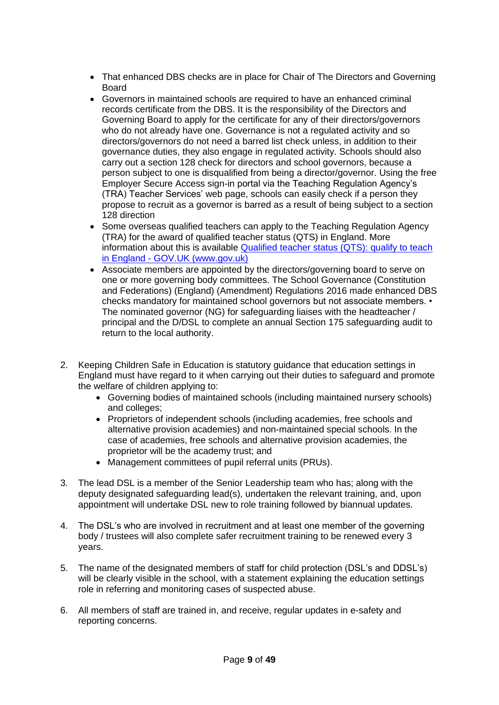- That enhanced DBS checks are in place for Chair of The Directors and Governing Board
- Governors in maintained schools are required to have an enhanced criminal records certificate from the DBS. It is the responsibility of the Directors and Governing Board to apply for the certificate for any of their directors/governors who do not already have one. Governance is not a regulated activity and so directors/governors do not need a barred list check unless, in addition to their governance duties, they also engage in regulated activity. Schools should also carry out a section 128 check for directors and school governors, because a person subject to one is disqualified from being a director/governor. Using the free Employer Secure Access sign-in portal via the Teaching Regulation Agency's (TRA) Teacher Services' web page, schools can easily check if a person they propose to recruit as a governor is barred as a result of being subject to a section 128 direction
- Some overseas qualified teachers can apply to the Teaching Regulation Agency (TRA) for the award of qualified teacher status (QTS) in England. More information about this is available [Qualified teacher status \(QTS\): qualify to teach](https://www.gov.uk/guidance/qualified-teacher-status-qts)  in England - [GOV.UK \(www.gov.uk\)](https://www.gov.uk/guidance/qualified-teacher-status-qts)
- Associate members are appointed by the directors/governing board to serve on one or more governing body committees. The School Governance (Constitution and Federations) (England) (Amendment) Regulations 2016 made enhanced DBS checks mandatory for maintained school governors but not associate members. • The nominated governor (NG) for safeguarding liaises with the headteacher / principal and the D/DSL to complete an annual Section 175 safeguarding audit to return to the local authority.
- 2. Keeping Children Safe in Education is statutory guidance that education settings in England must have regard to it when carrying out their duties to safeguard and promote the welfare of children applying to:
	- Governing bodies of maintained schools (including maintained nursery schools) and colleges;
	- Proprietors of independent schools (including academies, free schools and alternative provision academies) and non-maintained special schools. In the case of academies, free schools and alternative provision academies, the proprietor will be the academy trust; and
	- Management committees of pupil referral units (PRUs).
- 3. The lead DSL is a member of the Senior Leadership team who has; along with the deputy designated safeguarding lead(s), undertaken the relevant training, and, upon appointment will undertake DSL new to role training followed by biannual updates.
- 4. The DSL's who are involved in recruitment and at least one member of the governing body / trustees will also complete safer recruitment training to be renewed every 3 years.
- 5. The name of the designated members of staff for child protection (DSL's and DDSL's) will be clearly visible in the school, with a statement explaining the education settings role in referring and monitoring cases of suspected abuse.
- 6. All members of staff are trained in, and receive, regular updates in e-safety and reporting concerns.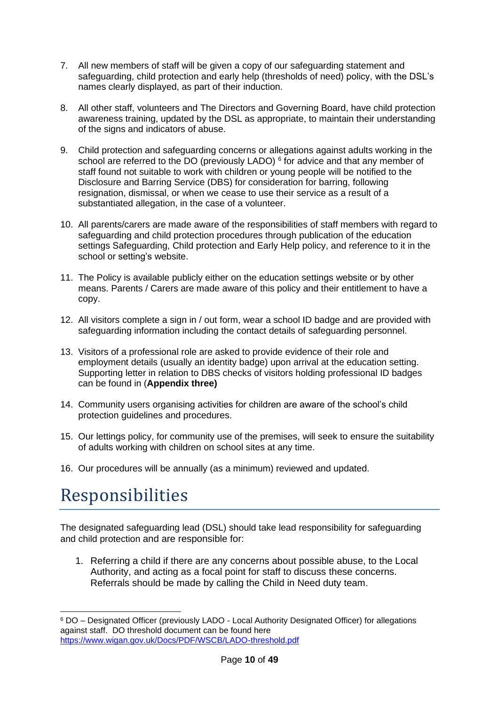- 7. All new members of staff will be given a copy of our safeguarding statement and safeguarding, child protection and early help (thresholds of need) policy, with the DSL's names clearly displayed, as part of their induction.
- 8. All other staff, volunteers and The Directors and Governing Board, have child protection awareness training, updated by the DSL as appropriate, to maintain their understanding of the signs and indicators of abuse.
- 9. Child protection and safeguarding concerns or allegations against adults working in the school are referred to the DO (previously LADO)  $6$  for advice and that any member of staff found not suitable to work with children or young people will be notified to the Disclosure and Barring Service (DBS) for consideration for barring, following resignation, dismissal, or when we cease to use their service as a result of a substantiated allegation, in the case of a volunteer.
- 10. All parents/carers are made aware of the responsibilities of staff members with regard to safeguarding and child protection procedures through publication of the education settings Safeguarding, Child protection and Early Help policy, and reference to it in the school or setting's website.
- 11. The Policy is available publicly either on the education settings website or by other means. Parents / Carers are made aware of this policy and their entitlement to have a copy.
- 12. All visitors complete a sign in / out form, wear a school ID badge and are provided with safeguarding information including the contact details of safeguarding personnel.
- 13. Visitors of a professional role are asked to provide evidence of their role and employment details (usually an identity badge) upon arrival at the education setting. Supporting letter in relation to DBS checks of visitors holding professional ID badges can be found in (**Appendix three)**
- 14. Community users organising activities for children are aware of the school's child protection guidelines and procedures.
- 15. Our lettings policy, for community use of the premises, will seek to ensure the suitability of adults working with children on school sites at any time.
- 16. Our procedures will be annually (as a minimum) reviewed and updated.

# Responsibilities

The designated safeguarding lead (DSL) should take lead responsibility for safeguarding and child protection and are responsible for:

1. Referring a child if there are any concerns about possible abuse, to the Local Authority, and acting as a focal point for staff to discuss these concerns. Referrals should be made by calling the Child in Need duty team.

<sup>6</sup> DO – Designated Officer (previously LADO - Local Authority Designated Officer) for allegations against staff. DO threshold document can be found here <https://www.wigan.gov.uk/Docs/PDF/WSCB/LADO-threshold.pdf>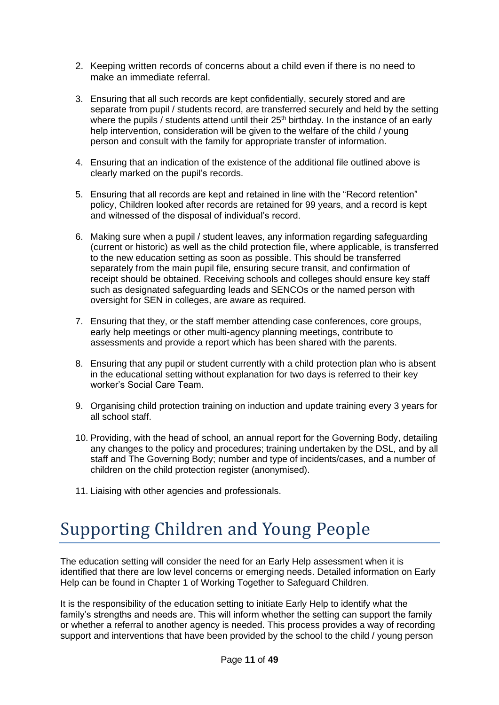- 2. Keeping written records of concerns about a child even if there is no need to make an immediate referral.
- 3. Ensuring that all such records are kept confidentially, securely stored and are separate from pupil / students record, are transferred securely and held by the setting where the pupils / students attend until their  $25<sup>th</sup>$  birthday. In the instance of an early help intervention, consideration will be given to the welfare of the child / young person and consult with the family for appropriate transfer of information.
- 4. Ensuring that an indication of the existence of the additional file outlined above is clearly marked on the pupil's records.
- 5. Ensuring that all records are kept and retained in line with the "Record retention" policy, Children looked after records are retained for 99 years, and a record is kept and witnessed of the disposal of individual's record.
- 6. Making sure when a pupil / student leaves, any information regarding safeguarding (current or historic) as well as the child protection file, where applicable, is transferred to the new education setting as soon as possible. This should be transferred separately from the main pupil file, ensuring secure transit, and confirmation of receipt should be obtained. Receiving schools and colleges should ensure key staff such as designated safeguarding leads and SENCOs or the named person with oversight for SEN in colleges, are aware as required.
- 7. Ensuring that they, or the staff member attending case conferences, core groups, early help meetings or other multi-agency planning meetings, contribute to assessments and provide a report which has been shared with the parents.
- 8. Ensuring that any pupil or student currently with a child protection plan who is absent in the educational setting without explanation for two days is referred to their key worker's Social Care Team.
- 9. Organising child protection training on induction and update training every 3 years for all school staff.
- 10. Providing, with the head of school, an annual report for the Governing Body, detailing any changes to the policy and procedures; training undertaken by the DSL, and by all staff and The Governing Body; number and type of incidents/cases, and a number of children on the child protection register (anonymised).
- 11. Liaising with other agencies and professionals.

# Supporting Children and Young People

The education setting will consider the need for an Early Help assessment when it is identified that there are low level concerns or emerging needs. Detailed information on Early Help can be found in Chapter 1 of Working Together to Safeguard Children.

It is the responsibility of the education setting to initiate Early Help to identify what the family's strengths and needs are. This will inform whether the setting can support the family or whether a referral to another agency is needed. This process provides a way of recording support and interventions that have been provided by the school to the child / young person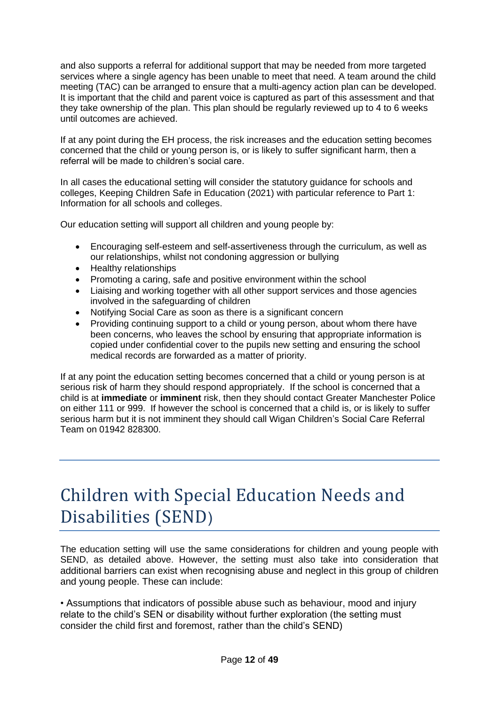and also supports a referral for additional support that may be needed from more targeted services where a single agency has been unable to meet that need. A team around the child meeting (TAC) can be arranged to ensure that a multi-agency action plan can be developed. It is important that the child and parent voice is captured as part of this assessment and that they take ownership of the plan. This plan should be regularly reviewed up to 4 to 6 weeks until outcomes are achieved.

If at any point during the EH process, the risk increases and the education setting becomes concerned that the child or young person is, or is likely to suffer significant harm, then a referral will be made to children's social care.

In all cases the educational setting will consider the statutory guidance for schools and colleges, Keeping Children Safe in Education (2021) with particular reference to Part 1: Information for all schools and colleges.

Our education setting will support all children and young people by:

- Encouraging self-esteem and self-assertiveness through the curriculum, as well as our relationships, whilst not condoning aggression or bullying
- Healthy relationships
- Promoting a caring, safe and positive environment within the school
- Liaising and working together with all other support services and those agencies involved in the safeguarding of children
- Notifying Social Care as soon as there is a significant concern
- Providing continuing support to a child or young person, about whom there have been concerns, who leaves the school by ensuring that appropriate information is copied under confidential cover to the pupils new setting and ensuring the school medical records are forwarded as a matter of priority.

If at any point the education setting becomes concerned that a child or young person is at serious risk of harm they should respond appropriately. If the school is concerned that a child is at **immediate** or **imminent** risk, then they should contact Greater Manchester Police on either 111 or 999. If however the school is concerned that a child is, or is likely to suffer serious harm but it is not imminent they should call Wigan Children's Social Care Referral Team on 01942 828300.

# Children with Special Education Needs and Disabilities (SEND)

The education setting will use the same considerations for children and young people with SEND, as detailed above. However, the setting must also take into consideration that additional barriers can exist when recognising abuse and neglect in this group of children and young people. These can include:

• Assumptions that indicators of possible abuse such as behaviour, mood and injury relate to the child's SEN or disability without further exploration (the setting must consider the child first and foremost, rather than the child's SEND)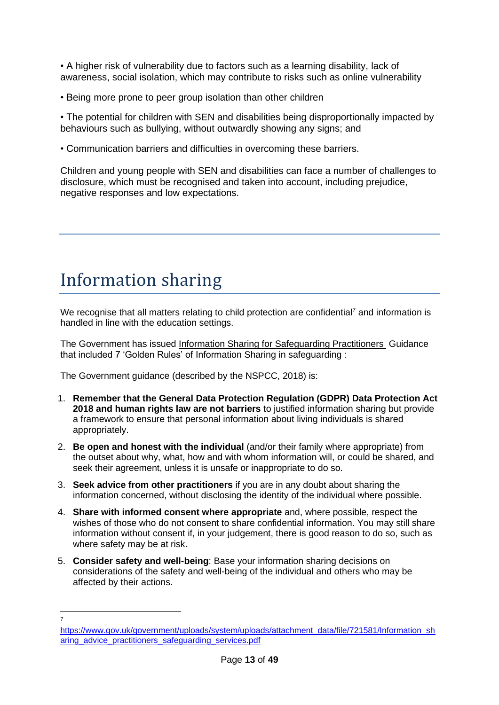• A higher risk of vulnerability due to factors such as a learning disability, lack of awareness, social isolation, which may contribute to risks such as online vulnerability

• Being more prone to peer group isolation than other children

• The potential for children with SEN and disabilities being disproportionally impacted by behaviours such as bullying, without outwardly showing any signs; and

• Communication barriers and difficulties in overcoming these barriers.

Children and young people with SEN and disabilities can face a number of challenges to disclosure, which must be recognised and taken into account, including prejudice, negative responses and low expectations.

### Information sharing

We recognise that all matters relating to child protection are confidential<sup>7</sup> and information is handled in line with the education settings.

The Government has issued [Information Sharing for Safeguarding Practitioners](https://www.gov.uk/government/publications/safeguarding-practitioners-information-sharing-advice) Guidance that included 7 'Golden Rules' of Information Sharing in safeguarding :

The Government guidance (described by the NSPCC, 2018) is:

- 1. **Remember that the General Data Protection Regulation (GDPR) Data Protection Act 2018 and human rights law are not barriers** to justified information sharing but provide a framework to ensure that personal information about living individuals is shared appropriately.
- 2. **Be open and honest with the individual** (and/or their family where appropriate) from the outset about why, what, how and with whom information will, or could be shared, and seek their agreement, unless it is unsafe or inappropriate to do so.
- 3. **Seek advice from other practitioners** if you are in any doubt about sharing the information concerned, without disclosing the identity of the individual where possible.
- 4. **Share with informed consent where appropriate** and, where possible, respect the wishes of those who do not consent to share confidential information. You may still share information without consent if, in your judgement, there is good reason to do so, such as where safety may be at risk.
- 5. **Consider safety and well-being**: Base your information sharing decisions on considerations of the safety and well-being of the individual and others who may be affected by their actions.

<sup>7</sup>

[https://www.gov.uk/government/uploads/system/uploads/attachment\\_data/file/721581/Information\\_sh](https://www.gov.uk/government/uploads/system/uploads/attachment_data/file/721581/Information_sharing_advice_practitioners_safeguarding_services.pdf) [aring\\_advice\\_practitioners\\_safeguarding\\_services.pdf](https://www.gov.uk/government/uploads/system/uploads/attachment_data/file/721581/Information_sharing_advice_practitioners_safeguarding_services.pdf)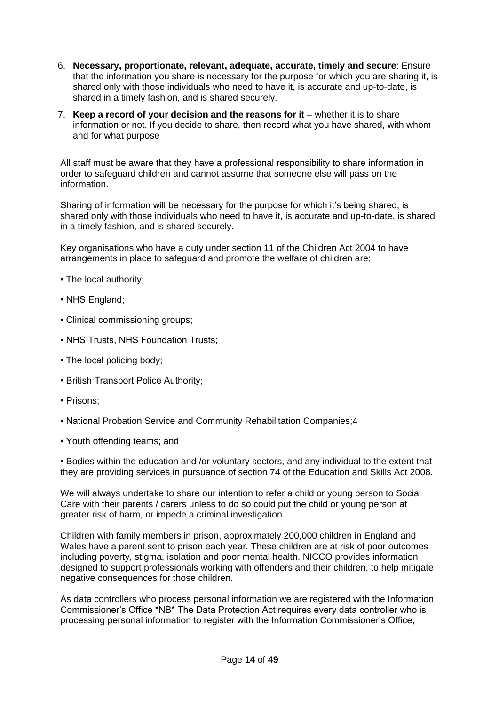- 6. **Necessary, proportionate, relevant, adequate, accurate, timely and secure**: Ensure that the information you share is necessary for the purpose for which you are sharing it, is shared only with those individuals who need to have it, is accurate and up-to-date, is shared in a timely fashion, and is shared securely.
- 7. **Keep a record of your decision and the reasons for it** whether it is to share information or not. If you decide to share, then record what you have shared, with whom and for what purpose

All staff must be aware that they have a professional responsibility to share information in order to safeguard children and cannot assume that someone else will pass on the information.

Sharing of information will be necessary for the purpose for which it's being shared, is shared only with those individuals who need to have it, is accurate and up-to-date, is shared in a timely fashion, and is shared securely.

Key organisations who have a duty under section 11 of the Children Act 2004 to have arrangements in place to safeguard and promote the welfare of children are:

- The local authority;
- NHS England;
- Clinical commissioning groups;
- NHS Trusts, NHS Foundation Trusts;
- The local policing body;
- British Transport Police Authority;
- Prisons;
- National Probation Service and Community Rehabilitation Companies;4
- Youth offending teams; and

• Bodies within the education and /or voluntary sectors, and any individual to the extent that they are providing services in pursuance of section 74 of the Education and Skills Act 2008.

We will always undertake to share our intention to refer a child or young person to Social Care with their parents / carers unless to do so could put the child or young person at greater risk of harm, or impede a criminal investigation.

Children with family members in prison, approximately 200,000 children in England and Wales have a parent sent to prison each year. These children are at risk of poor outcomes including poverty, stigma, isolation and poor mental health. NICCO provides information designed to support professionals working with offenders and their children, to help mitigate negative consequences for those children.

As data controllers who process personal information we are registered with the Information Commissioner's Office \*NB\* The Data Protection Act requires every data controller who is processing personal information to register with the Information Commissioner's Office,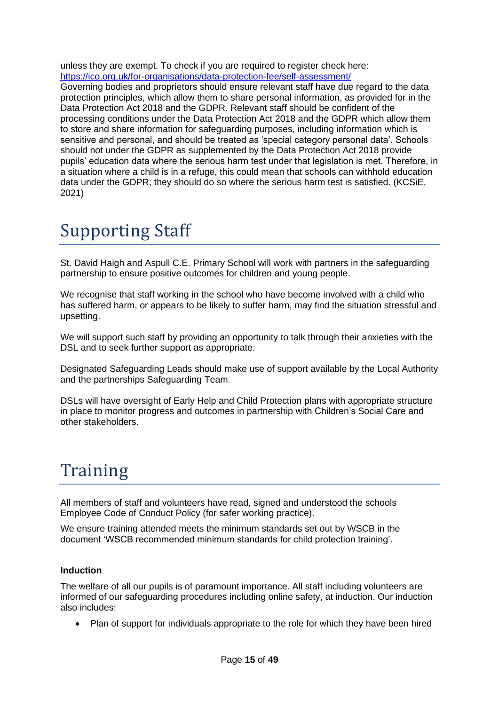unless they are exempt. To check if you are required to register check here: <https://ico.org.uk/for-organisations/data-protection-fee/self-assessment/>

Governing bodies and proprietors should ensure relevant staff have due regard to the data protection principles, which allow them to share personal information, as provided for in the Data Protection Act 2018 and the GDPR. Relevant staff should be confident of the processing conditions under the Data Protection Act 2018 and the GDPR which allow them to store and share information for safeguarding purposes, including information which is sensitive and personal, and should be treated as 'special category personal data'. Schools should not under the GDPR as supplemented by the Data Protection Act 2018 provide pupils' education data where the serious harm test under that legislation is met. Therefore, in a situation where a child is in a refuge, this could mean that schools can withhold education data under the GDPR; they should do so where the serious harm test is satisfied. (KCSiE, 2021)

# Supporting Staff

St. David Haigh and Aspull C.E. Primary School will work with partners in the safeguarding partnership to ensure positive outcomes for children and young people.

We recognise that staff working in the school who have become involved with a child who has suffered harm, or appears to be likely to suffer harm, may find the situation stressful and upsetting.

We will support such staff by providing an opportunity to talk through their anxieties with the DSL and to seek further support as appropriate.

Designated Safeguarding Leads should make use of support available by the Local Authority and the partnerships Safeguarding Team.

DSLs will have oversight of Early Help and Child Protection plans with appropriate structure in place to monitor progress and outcomes in partnership with Children's Social Care and other stakeholders.

### Training

All members of staff and volunteers have read, signed and understood the schools Employee Code of Conduct Policy (for safer working practice).

We ensure training attended meets the minimum standards set out by WSCB in the document 'WSCB recommended minimum standards for child protection training'.

#### **Induction**

The welfare of all our pupils is of paramount importance. All staff including volunteers are informed of our safeguarding procedures including online safety, at induction. Our induction also includes:

• Plan of support for individuals appropriate to the role for which they have been hired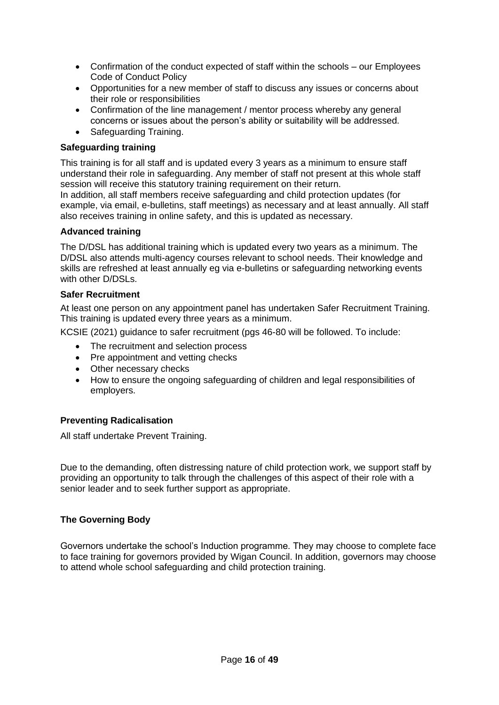- Confirmation of the conduct expected of staff within the schools our Employees Code of Conduct Policy
- Opportunities for a new member of staff to discuss any issues or concerns about their role or responsibilities
- Confirmation of the line management / mentor process whereby any general concerns or issues about the person's ability or suitability will be addressed.
- Safeguarding Training.

#### **Safeguarding training**

This training is for all staff and is updated every 3 years as a minimum to ensure staff understand their role in safeguarding. Any member of staff not present at this whole staff session will receive this statutory training requirement on their return.

In addition, all staff members receive safeguarding and child protection updates (for example, via email, e-bulletins, staff meetings) as necessary and at least annually. All staff also receives training in online safety, and this is updated as necessary.

#### **Advanced training**

The D/DSL has additional training which is updated every two years as a minimum. The D/DSL also attends multi-agency courses relevant to school needs. Their knowledge and skills are refreshed at least annually eg via e-bulletins or safeguarding networking events with other D/DSLs.

#### **Safer Recruitment**

At least one person on any appointment panel has undertaken Safer Recruitment Training. This training is updated every three years as a minimum.

KCSIE (2021) guidance to safer recruitment (pgs 46-80 will be followed. To include:

- The recruitment and selection process
- Pre appointment and vetting checks
- Other necessary checks
- How to ensure the ongoing safeguarding of children and legal responsibilities of employers.

#### **Preventing Radicalisation**

All staff undertake Prevent Training.

Due to the demanding, often distressing nature of child protection work, we support staff by providing an opportunity to talk through the challenges of this aspect of their role with a senior leader and to seek further support as appropriate.

#### **The Governing Body**

Governors undertake the school's Induction programme. They may choose to complete face to face training for governors provided by Wigan Council. In addition, governors may choose to attend whole school safeguarding and child protection training.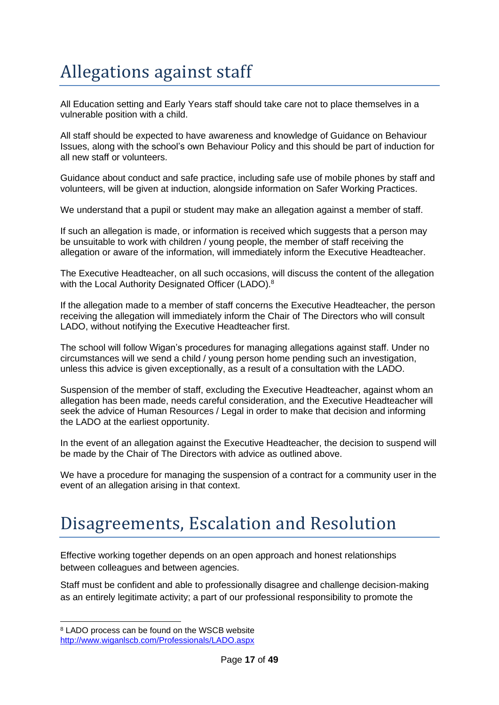# Allegations against staff

All Education setting and Early Years staff should take care not to place themselves in a vulnerable position with a child.

All staff should be expected to have awareness and knowledge of Guidance on Behaviour Issues, along with the school's own Behaviour Policy and this should be part of induction for all new staff or volunteers.

Guidance about conduct and safe practice, including safe use of mobile phones by staff and volunteers, will be given at induction, alongside information on Safer Working Practices.

We understand that a pupil or student may make an allegation against a member of staff.

If such an allegation is made, or information is received which suggests that a person may be unsuitable to work with children / young people, the member of staff receiving the allegation or aware of the information, will immediately inform the Executive Headteacher.

The Executive Headteacher, on all such occasions, will discuss the content of the allegation with the Local Authority Designated Officer (LADO).<sup>8</sup>

If the allegation made to a member of staff concerns the Executive Headteacher, the person receiving the allegation will immediately inform the Chair of The Directors who will consult LADO, without notifying the Executive Headteacher first.

The school will follow Wigan's procedures for managing allegations against staff. Under no circumstances will we send a child / young person home pending such an investigation, unless this advice is given exceptionally, as a result of a consultation with the LADO.

Suspension of the member of staff, excluding the Executive Headteacher, against whom an allegation has been made, needs careful consideration, and the Executive Headteacher will seek the advice of Human Resources / Legal in order to make that decision and informing the LADO at the earliest opportunity.

In the event of an allegation against the Executive Headteacher, the decision to suspend will be made by the Chair of The Directors with advice as outlined above.

We have a procedure for managing the suspension of a contract for a community user in the event of an allegation arising in that context.

### Disagreements, Escalation and Resolution

Effective working together depends on an open approach and honest relationships between colleagues and between agencies.

Staff must be confident and able to professionally disagree and challenge decision-making as an entirely legitimate activity; a part of our professional responsibility to promote the

<sup>8</sup> LADO process can be found on the WSCB website <http://www.wiganlscb.com/Professionals/LADO.aspx>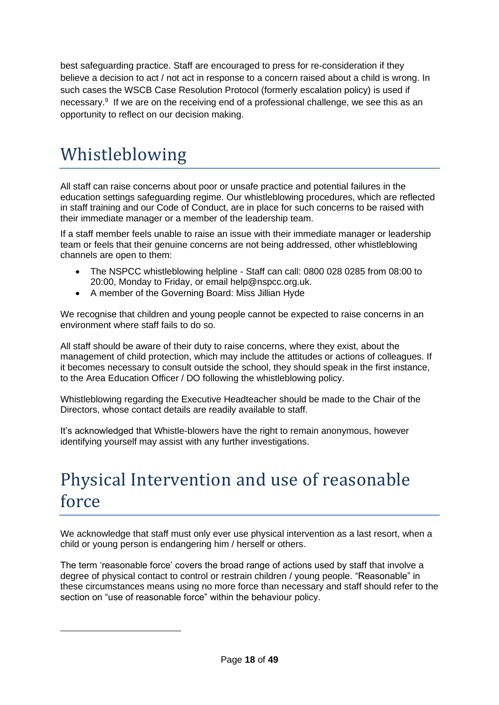best safeguarding practice. Staff are encouraged to press for re-consideration if they believe a decision to act / not act in response to a concern raised about a child is wrong. In such cases the WSCB Case Resolution Protocol (formerly escalation policy) is used if necessary.<sup>9</sup> If we are on the receiving end of a professional challenge, we see this as an opportunity to reflect on our decision making.

### Whistleblowing

All staff can raise concerns about poor or unsafe practice and potential failures in the education settings safeguarding regime. Our whistleblowing procedures, which are reflected in staff training and our Code of Conduct, are in place for such concerns to be raised with their immediate manager or a member of the leadership team.

If a staff member feels unable to raise an issue with their immediate manager or leadership team or feels that their genuine concerns are not being addressed, other whistleblowing channels are open to them:

- The NSPCC whistleblowing helpline Staff can call: 0800 028 0285 from 08:00 to 20:00, Monday to Friday, or email help@nspcc.org.uk.
- A member of the Governing Board: Miss Jillian Hyde

We recognise that children and young people cannot be expected to raise concerns in an environment where staff fails to do so.

All staff should be aware of their duty to raise concerns, where they exist, about the management of child protection, which may include the attitudes or actions of colleagues. If it becomes necessary to consult outside the school, they should speak in the first instance, to the Area Education Officer / DO following the whistleblowing policy.

Whistleblowing regarding the Executive Headteacher should be made to the Chair of the Directors, whose contact details are readily available to staff.

It's acknowledged that Whistle-blowers have the right to remain anonymous, however identifying yourself may assist with any further investigations.

### Physical Intervention and use of reasonable force

We acknowledge that staff must only ever use physical intervention as a last resort, when a child or young person is endangering him / herself or others.

The term 'reasonable force' covers the broad range of actions used by staff that involve a degree of physical contact to control or restrain children / young people. "Reasonable" in these circumstances means using no more force than necessary and staff should refer to the section on "use of reasonable force" within the behaviour policy.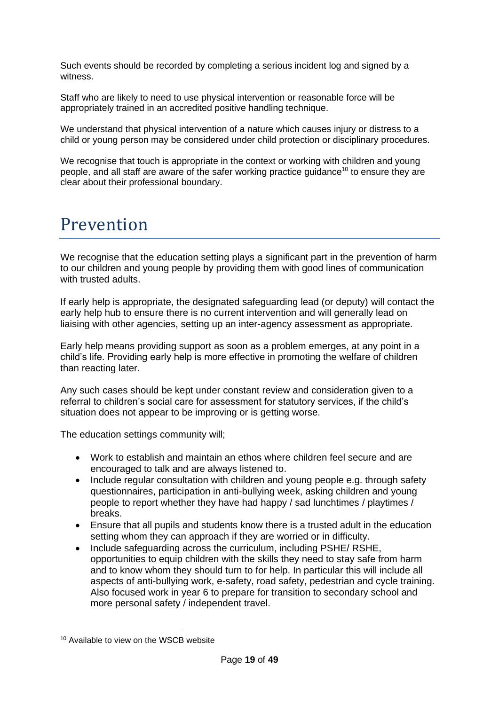Such events should be recorded by completing a serious incident log and signed by a witness.

Staff who are likely to need to use physical intervention or reasonable force will be appropriately trained in an accredited positive handling technique.

We understand that physical intervention of a nature which causes injury or distress to a child or young person may be considered under child protection or disciplinary procedures.

We recognise that touch is appropriate in the context or working with children and young people, and all staff are aware of the safer working practice guidance<sup>10</sup> to ensure they are clear about their professional boundary.

### Prevention

We recognise that the education setting plays a significant part in the prevention of harm to our children and young people by providing them with good lines of communication with trusted adults.

If early help is appropriate, the designated safeguarding lead (or deputy) will contact the early help hub to ensure there is no current intervention and will generally lead on liaising with other agencies, setting up an inter-agency assessment as appropriate.

Early help means providing support as soon as a problem emerges, at any point in a child's life. Providing early help is more effective in promoting the welfare of children than reacting later.

Any such cases should be kept under constant review and consideration given to a referral to children's social care for assessment for statutory services, if the child's situation does not appear to be improving or is getting worse.

The education settings community will;

- Work to establish and maintain an ethos where children feel secure and are encouraged to talk and are always listened to.
- Include regular consultation with children and young people e.g. through safety questionnaires, participation in anti-bullying week, asking children and young people to report whether they have had happy / sad lunchtimes / playtimes / breaks.
- Ensure that all pupils and students know there is a trusted adult in the education setting whom they can approach if they are worried or in difficulty.
- Include safeguarding across the curriculum, including PSHE/ RSHE, opportunities to equip children with the skills they need to stay safe from harm and to know whom they should turn to for help. In particular this will include all aspects of anti-bullying work, e-safety, road safety, pedestrian and cycle training. Also focused work in year 6 to prepare for transition to secondary school and more personal safety / independent travel.

<sup>10</sup> Available to view on the WSCB website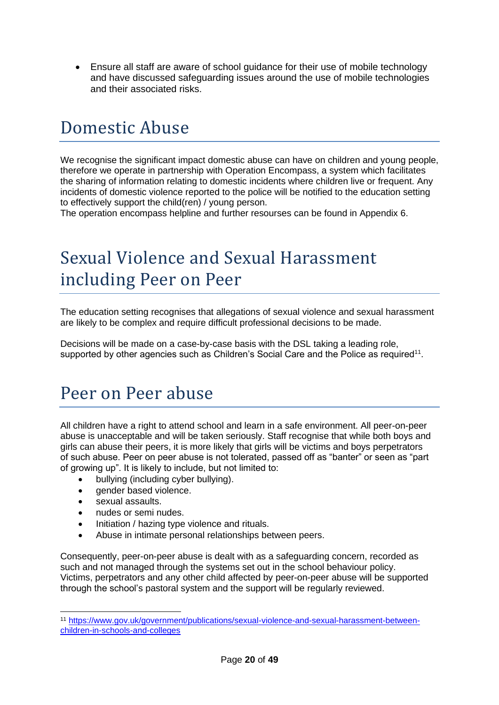• Ensure all staff are aware of school guidance for their use of mobile technology and have discussed safeguarding issues around the use of mobile technologies and their associated risks.

### Domestic Abuse

We recognise the significant impact domestic abuse can have on children and young people, therefore we operate in partnership with Operation Encompass, a system which facilitates the sharing of information relating to domestic incidents where children live or frequent. Any incidents of domestic violence reported to the police will be notified to the education setting to effectively support the child(ren) / young person.

The operation encompass helpline and further resourses can be found in Appendix 6.

### Sexual Violence and Sexual Harassment including Peer on Peer

The education setting recognises that allegations of sexual violence and sexual harassment are likely to be complex and require difficult professional decisions to be made.

Decisions will be made on a case-by-case basis with the DSL taking a leading role, supported by other agencies such as Children's Social Care and the Police as required<sup>11</sup>.

### Peer on Peer abuse

All children have a right to attend school and learn in a safe environment. All peer-on-peer abuse is unacceptable and will be taken seriously. Staff recognise that while both boys and girls can abuse their peers, it is more likely that girls will be victims and boys perpetrators of such abuse. Peer on peer abuse is not tolerated, passed off as "banter" or seen as "part of growing up". It is likely to include, but not limited to:

- bullying (including cyber bullying).
- gender based violence.
- sexual assaults.
- nudes or semi nudes.
- Initiation / hazing type violence and rituals.
- Abuse in intimate personal relationships between peers.

Consequently, peer-on-peer abuse is dealt with as a safeguarding concern, recorded as such and not managed through the systems set out in the school behaviour policy. Victims, perpetrators and any other child affected by peer-on-peer abuse will be supported through the school's pastoral system and the support will be regularly reviewed.

<sup>11</sup> [https://www.gov.uk/government/publications/sexual-violence-and-sexual-harassment-between](https://www.gov.uk/government/publications/sexual-violence-and-sexual-harassment-between-children-in-schools-and-colleges)[children-in-schools-and-colleges](https://www.gov.uk/government/publications/sexual-violence-and-sexual-harassment-between-children-in-schools-and-colleges)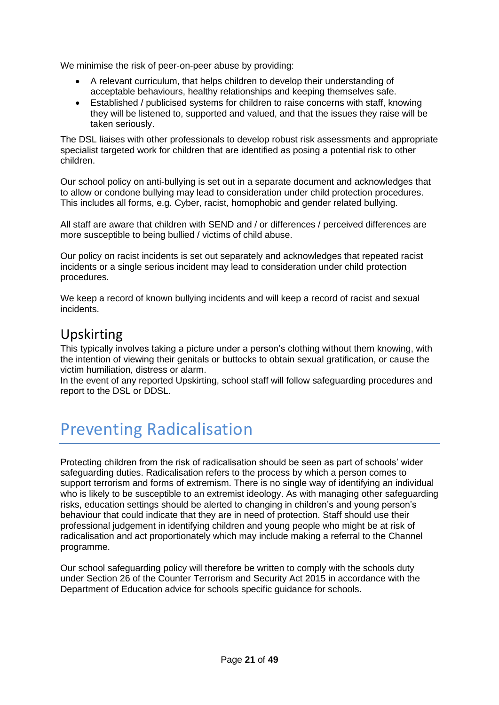We minimise the risk of peer-on-peer abuse by providing:

- A relevant curriculum, that helps children to develop their understanding of acceptable behaviours, healthy relationships and keeping themselves safe.
- Established / publicised systems for children to raise concerns with staff, knowing they will be listened to, supported and valued, and that the issues they raise will be taken seriously.

The DSL liaises with other professionals to develop robust risk assessments and appropriate specialist targeted work for children that are identified as posing a potential risk to other children.

Our school policy on anti-bullying is set out in a separate document and acknowledges that to allow or condone bullying may lead to consideration under child protection procedures. This includes all forms, e.g. Cyber, racist, homophobic and gender related bullying.

All staff are aware that children with SEND and / or differences / perceived differences are more susceptible to being bullied / victims of child abuse.

Our policy on racist incidents is set out separately and acknowledges that repeated racist incidents or a single serious incident may lead to consideration under child protection procedures.

We keep a record of known bullying incidents and will keep a record of racist and sexual incidents.

### Upskirting

This typically involves taking a picture under a person's clothing without them knowing, with the intention of viewing their genitals or buttocks to obtain sexual gratification, or cause the victim humiliation, distress or alarm.

In the event of any reported Upskirting, school staff will follow safeguarding procedures and report to the DSL or DDSL.

### Preventing Radicalisation

Protecting children from the risk of radicalisation should be seen as part of schools' wider safeguarding duties. Radicalisation refers to the process by which a person comes to support terrorism and forms of extremism. There is no single way of identifying an individual who is likely to be susceptible to an extremist ideology. As with managing other safeguarding risks, education settings should be alerted to changing in children's and young person's behaviour that could indicate that they are in need of protection. Staff should use their professional judgement in identifying children and young people who might be at risk of radicalisation and act proportionately which may include making a referral to the Channel programme.

Our school safeguarding policy will therefore be written to comply with the schools duty under Section 26 of the Counter Terrorism and Security Act 2015 in accordance with the Department of Education advice for schools specific guidance for schools.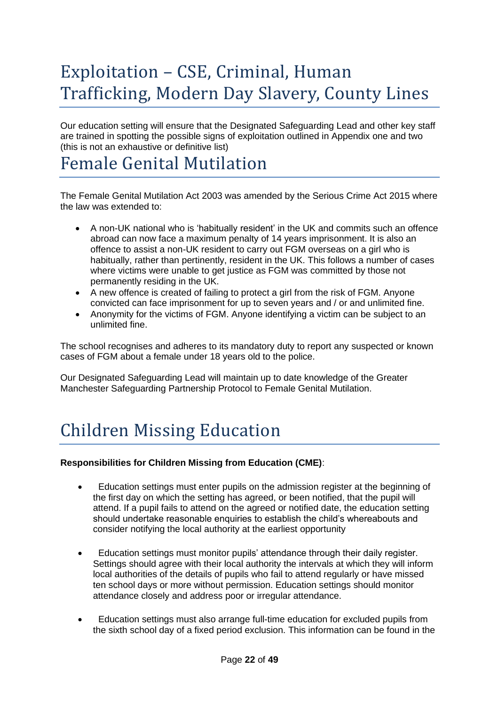# Exploitation – CSE, Criminal, Human Trafficking, Modern Day Slavery, County Lines

Our education setting will ensure that the Designated Safeguarding Lead and other key staff are trained in spotting the possible signs of exploitation outlined in Appendix one and two (this is not an exhaustive or definitive list)

### Female Genital Mutilation

The Female Genital Mutilation Act 2003 was amended by the Serious Crime Act 2015 where the law was extended to:

- A non-UK national who is 'habitually resident' in the UK and commits such an offence abroad can now face a maximum penalty of 14 years imprisonment. It is also an offence to assist a non-UK resident to carry out FGM overseas on a girl who is habitually, rather than pertinently, resident in the UK. This follows a number of cases where victims were unable to get justice as FGM was committed by those not permanently residing in the UK.
- A new offence is created of failing to protect a girl from the risk of FGM. Anyone convicted can face imprisonment for up to seven years and / or and unlimited fine.
- Anonymity for the victims of FGM. Anyone identifying a victim can be subject to an unlimited fine.

The school recognises and adheres to its mandatory duty to report any suspected or known cases of FGM about a female under 18 years old to the police.

Our Designated Safeguarding Lead will maintain up to date knowledge of the Greater Manchester Safeguarding Partnership Protocol to Female Genital Mutilation.

# Children Missing Education

#### **Responsibilities for Children Missing from Education (CME)**:

- Education settings must enter pupils on the admission register at the beginning of the first day on which the setting has agreed, or been notified, that the pupil will attend. If a pupil fails to attend on the agreed or notified date, the education setting should undertake reasonable enquiries to establish the child's whereabouts and consider notifying the local authority at the earliest opportunity
- Education settings must monitor pupils' attendance through their daily register. Settings should agree with their local authority the intervals at which they will inform local authorities of the details of pupils who fail to attend regularly or have missed ten school days or more without permission. Education settings should monitor attendance closely and address poor or irregular attendance.
- Education settings must also arrange full-time education for excluded pupils from the sixth school day of a fixed period exclusion. This information can be found in the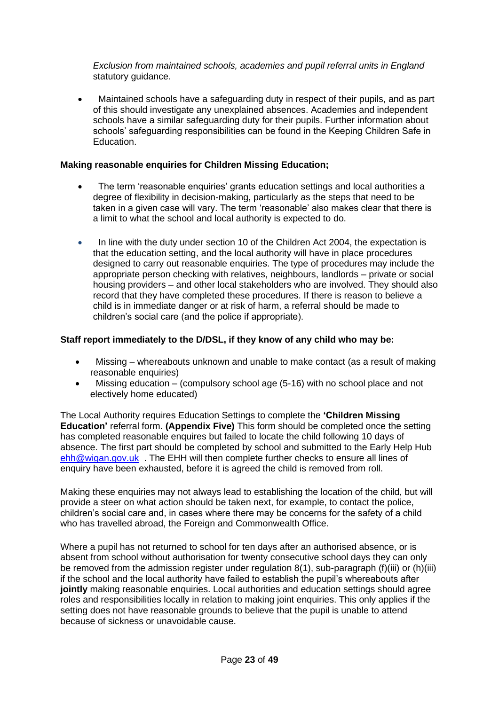*Exclusion from maintained schools, academies and pupil referral units in England*  statutory guidance.

• Maintained schools have a safeguarding duty in respect of their pupils, and as part of this should investigate any unexplained absences. Academies and independent schools have a similar safeguarding duty for their pupils. Further information about schools' safeguarding responsibilities can be found in the Keeping Children Safe in Education.

#### **Making reasonable enquiries for Children Missing Education;**

- The term 'reasonable enquiries' grants education settings and local authorities a degree of flexibility in decision-making, particularly as the steps that need to be taken in a given case will vary. The term 'reasonable' also makes clear that there is a limit to what the school and local authority is expected to do.
- In line with the duty under section 10 of the Children Act 2004, the expectation is that the education setting, and the local authority will have in place procedures designed to carry out reasonable enquiries. The type of procedures may include the appropriate person checking with relatives, neighbours, landlords – private or social housing providers – and other local stakeholders who are involved. They should also record that they have completed these procedures. If there is reason to believe a child is in immediate danger or at risk of harm, a referral should be made to children's social care (and the police if appropriate).

#### **Staff report immediately to the D/DSL, if they know of any child who may be:**

- Missing whereabouts unknown and unable to make contact (as a result of making reasonable enquiries)
- Missing education (compulsory school age (5-16) with no school place and not electively home educated)

The Local Authority requires Education Settings to complete the **'Children Missing Education'** referral form. **(Appendix Five)** This form should be completed once the setting has completed reasonable enquires but failed to locate the child following 10 days of absence. The first part should be completed by school and submitted to the Early Help Hub [ehh@wigan.gov.uk](mailto:ehh@wigan.gov.uk) . The EHH will then complete further checks to ensure all lines of enquiry have been exhausted, before it is agreed the child is removed from roll.

Making these enquiries may not always lead to establishing the location of the child, but will provide a steer on what action should be taken next, for example, to contact the police, children's social care and, in cases where there may be concerns for the safety of a child who has travelled abroad, the Foreign and Commonwealth Office.

Where a pupil has not returned to school for ten days after an authorised absence, or is absent from school without authorisation for twenty consecutive school days they can only be removed from the admission register under regulation 8(1), sub-paragraph (f)(iii) or (h)(iii) if the school and the local authority have failed to establish the pupil's whereabouts after **jointly** making reasonable enquiries. Local authorities and education settings should agree roles and responsibilities locally in relation to making joint enquiries. This only applies if the setting does not have reasonable grounds to believe that the pupil is unable to attend because of sickness or unavoidable cause.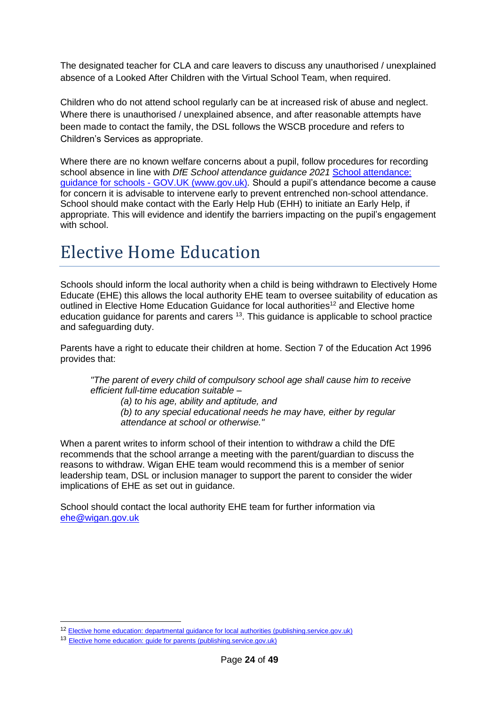The designated teacher for CLA and care leavers to discuss any unauthorised / unexplained absence of a Looked After Children with the Virtual School Team, when required.

Children who do not attend school regularly can be at increased risk of abuse and neglect. Where there is unauthorised / unexplained absence, and after reasonable attempts have been made to contact the family, the DSL follows the WSCB procedure and refers to Children's Services as appropriate.

Where there are no known welfare concerns about a pupil, follow procedures for recording school absence in line with *DfE School attendance guidance 2021* [School attendance:](https://www.gov.uk/government/publications/school-attendance)  guidance for schools - [GOV.UK \(www.gov.uk\)](https://www.gov.uk/government/publications/school-attendance)*.* Should a pupil's attendance become a cause for concern it is advisable to intervene early to prevent entrenched non-school attendance. School should make contact with the Early Help Hub (EHH) to initiate an Early Help, if appropriate. This will evidence and identify the barriers impacting on the pupil's engagement with school.

### Elective Home Education

Schools should inform the local authority when a child is being withdrawn to Electively Home Educate (EHE) this allows the local authority EHE team to oversee suitability of education as outlined in Elective Home Education Guidance for local authorities<sup>12</sup> and Elective home education guidance for parents and carers  $13$ . This guidance is applicable to school practice and safeguarding duty.

Parents have a right to educate their children at home. Section 7 of the Education Act 1996 provides that:

*"The parent of every child of compulsory school age shall cause him to receive efficient full-time education suitable –*

*(a) to his age, ability and aptitude, and (b) to any special educational needs he may have, either by regular attendance at school or otherwise."*

When a parent writes to inform school of their intention to withdraw a child the DfE recommends that the school arrange a meeting with the parent/guardian to discuss the reasons to withdraw. Wigan EHE team would recommend this is a member of senior leadership team, DSL or inclusion manager to support the parent to consider the wider implications of EHE as set out in guidance.

School should contact the local authority EHE team for further information via [ehe@wigan.gov.uk](mailto:ehe@wigan.gov.uk)

<sup>12</sup> [Elective home education: departmental guidance for local authorities \(publishing.service.gov.uk\)](https://assets.publishing.service.gov.uk/government/uploads/system/uploads/attachment_data/file/791527/Elective_home_education_gudiance_for_LAv2.0.pdf)

<sup>13</sup> [Elective home education: guide for parents \(publishing.service.gov.uk\)](https://assets.publishing.service.gov.uk/government/uploads/system/uploads/attachment_data/file/791528/EHE_guidance_for_parentsafterconsultationv2.2.pdf)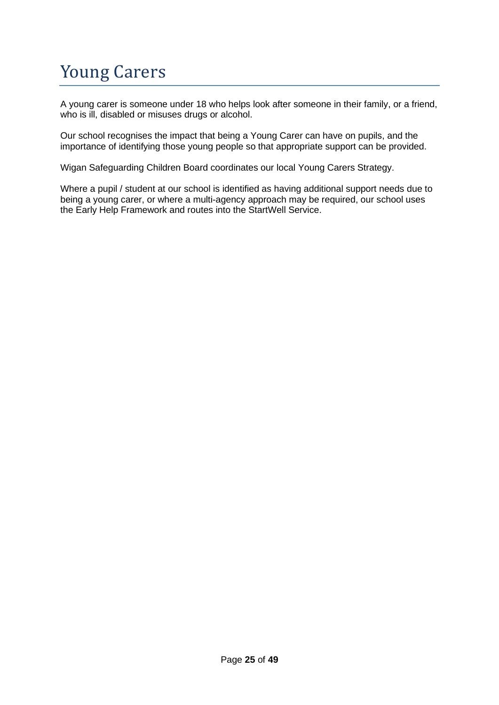# Young Carers

A young carer is someone under 18 who helps look after someone in their family, or a friend, who is ill, disabled or misuses drugs or alcohol.

Our school recognises the impact that being a Young Carer can have on pupils, and the importance of identifying those young people so that appropriate support can be provided.

Wigan Safeguarding Children Board coordinates our local Young Carers Strategy.

Where a pupil / student at our school is identified as having additional support needs due to being a young carer, or where a multi-agency approach may be required, our school uses the Early Help Framework and routes into the StartWell Service.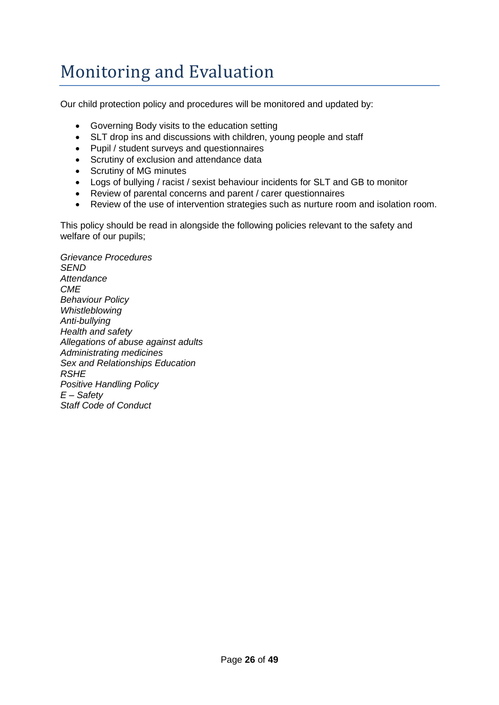# Monitoring and Evaluation

Our child protection policy and procedures will be monitored and updated by:

- Governing Body visits to the education setting
- SLT drop ins and discussions with children, young people and staff
- Pupil / student surveys and questionnaires
- Scrutiny of exclusion and attendance data
- Scrutiny of MG minutes
- Logs of bullying / racist / sexist behaviour incidents for SLT and GB to monitor
- Review of parental concerns and parent / carer questionnaires
- Review of the use of intervention strategies such as nurture room and isolation room.

This policy should be read in alongside the following policies relevant to the safety and welfare of our pupils;

*Grievance Procedures SEND Attendance CME Behaviour Policy Whistleblowing Anti-bullying Health and safety Allegations of abuse against adults Administrating medicines Sex and Relationships Education RSHE Positive Handling Policy E – Safety Staff Code of Conduct*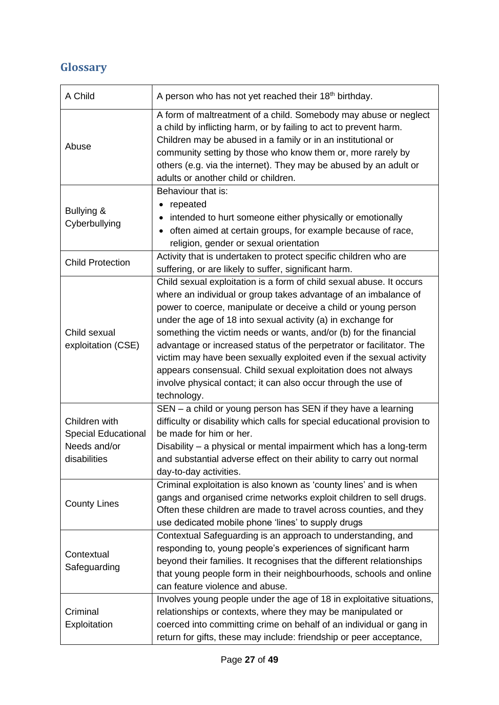### **Glossary**

| A Child                                                                     | A person who has not yet reached their 18 <sup>th</sup> birthday.                                                                                                                                                                                                                                                                                                                                                                                                                                                                                                                                                                               |  |  |
|-----------------------------------------------------------------------------|-------------------------------------------------------------------------------------------------------------------------------------------------------------------------------------------------------------------------------------------------------------------------------------------------------------------------------------------------------------------------------------------------------------------------------------------------------------------------------------------------------------------------------------------------------------------------------------------------------------------------------------------------|--|--|
| Abuse                                                                       | A form of maltreatment of a child. Somebody may abuse or neglect<br>a child by inflicting harm, or by failing to act to prevent harm.<br>Children may be abused in a family or in an institutional or<br>community setting by those who know them or, more rarely by<br>others (e.g. via the internet). They may be abused by an adult or<br>adults or another child or children.                                                                                                                                                                                                                                                               |  |  |
| Bullying &<br>Cyberbullying                                                 | Behaviour that is:<br>repeated<br>intended to hurt someone either physically or emotionally<br>often aimed at certain groups, for example because of race,<br>religion, gender or sexual orientation                                                                                                                                                                                                                                                                                                                                                                                                                                            |  |  |
| <b>Child Protection</b>                                                     | Activity that is undertaken to protect specific children who are<br>suffering, or are likely to suffer, significant harm.                                                                                                                                                                                                                                                                                                                                                                                                                                                                                                                       |  |  |
| Child sexual<br>exploitation (CSE)                                          | Child sexual exploitation is a form of child sexual abuse. It occurs<br>where an individual or group takes advantage of an imbalance of<br>power to coerce, manipulate or deceive a child or young person<br>under the age of 18 into sexual activity (a) in exchange for<br>something the victim needs or wants, and/or (b) for the financial<br>advantage or increased status of the perpetrator or facilitator. The<br>victim may have been sexually exploited even if the sexual activity<br>appears consensual. Child sexual exploitation does not always<br>involve physical contact; it can also occur through the use of<br>technology. |  |  |
| Children with<br><b>Special Educational</b><br>Needs and/or<br>disabilities | SEN - a child or young person has SEN if they have a learning<br>difficulty or disability which calls for special educational provision to<br>be made for him or her.<br>Disability - a physical or mental impairment which has a long-term<br>and substantial adverse effect on their ability to carry out normal<br>day-to-day activities.                                                                                                                                                                                                                                                                                                    |  |  |
| <b>County Lines</b>                                                         | Criminal exploitation is also known as 'county lines' and is when<br>gangs and organised crime networks exploit children to sell drugs.<br>Often these children are made to travel across counties, and they<br>use dedicated mobile phone 'lines' to supply drugs                                                                                                                                                                                                                                                                                                                                                                              |  |  |
| Contextual<br>Safeguarding                                                  | Contextual Safeguarding is an approach to understanding, and<br>responding to, young people's experiences of significant harm<br>beyond their families. It recognises that the different relationships<br>that young people form in their neighbourhoods, schools and online<br>can feature violence and abuse.                                                                                                                                                                                                                                                                                                                                 |  |  |
| Criminal<br>Exploitation                                                    | Involves young people under the age of 18 in exploitative situations,<br>relationships or contexts, where they may be manipulated or<br>coerced into committing crime on behalf of an individual or gang in<br>return for gifts, these may include: friendship or peer acceptance,                                                                                                                                                                                                                                                                                                                                                              |  |  |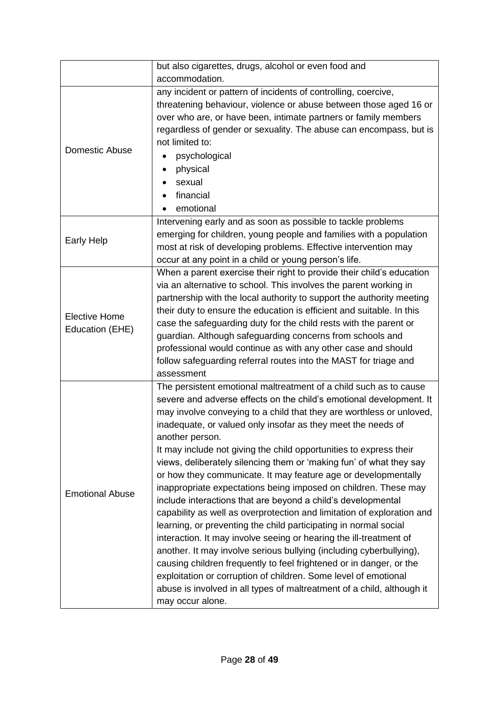|                                         | but also cigarettes, drugs, alcohol or even food and<br>accommodation.                                                                                                                                                                                                                                                                                                                                                                                                                                                                                                                                                                                                                                                                                                                                                                                                                                                                                                                                                                                                                                                                                                                   |  |  |
|-----------------------------------------|------------------------------------------------------------------------------------------------------------------------------------------------------------------------------------------------------------------------------------------------------------------------------------------------------------------------------------------------------------------------------------------------------------------------------------------------------------------------------------------------------------------------------------------------------------------------------------------------------------------------------------------------------------------------------------------------------------------------------------------------------------------------------------------------------------------------------------------------------------------------------------------------------------------------------------------------------------------------------------------------------------------------------------------------------------------------------------------------------------------------------------------------------------------------------------------|--|--|
| Domestic Abuse                          | any incident or pattern of incidents of controlling, coercive,<br>threatening behaviour, violence or abuse between those aged 16 or<br>over who are, or have been, intimate partners or family members<br>regardless of gender or sexuality. The abuse can encompass, but is<br>not limited to:<br>psychological<br>physical<br>sexual<br>financial<br>emotional                                                                                                                                                                                                                                                                                                                                                                                                                                                                                                                                                                                                                                                                                                                                                                                                                         |  |  |
| <b>Early Help</b>                       | Intervening early and as soon as possible to tackle problems<br>emerging for children, young people and families with a population<br>most at risk of developing problems. Effective intervention may<br>occur at any point in a child or young person's life.                                                                                                                                                                                                                                                                                                                                                                                                                                                                                                                                                                                                                                                                                                                                                                                                                                                                                                                           |  |  |
| <b>Elective Home</b><br>Education (EHE) | When a parent exercise their right to provide their child's education<br>via an alternative to school. This involves the parent working in<br>partnership with the local authority to support the authority meeting<br>their duty to ensure the education is efficient and suitable. In this<br>case the safeguarding duty for the child rests with the parent or<br>guardian. Although safeguarding concerns from schools and<br>professional would continue as with any other case and should<br>follow safeguarding referral routes into the MAST for triage and<br>assessment                                                                                                                                                                                                                                                                                                                                                                                                                                                                                                                                                                                                        |  |  |
| <b>Emotional Abuse</b>                  | The persistent emotional maltreatment of a child such as to cause<br>severe and adverse effects on the child's emotional development. It<br>may involve conveying to a child that they are worthless or unloved,<br>inadequate, or valued only insofar as they meet the needs of<br>another person.<br>It may include not giving the child opportunities to express their<br>views, deliberately silencing them or 'making fun' of what they say<br>or how they communicate. It may feature age or developmentally<br>inappropriate expectations being imposed on children. These may<br>include interactions that are beyond a child's developmental<br>capability as well as overprotection and limitation of exploration and<br>learning, or preventing the child participating in normal social<br>interaction. It may involve seeing or hearing the ill-treatment of<br>another. It may involve serious bullying (including cyberbullying),<br>causing children frequently to feel frightened or in danger, or the<br>exploitation or corruption of children. Some level of emotional<br>abuse is involved in all types of maltreatment of a child, although it<br>may occur alone. |  |  |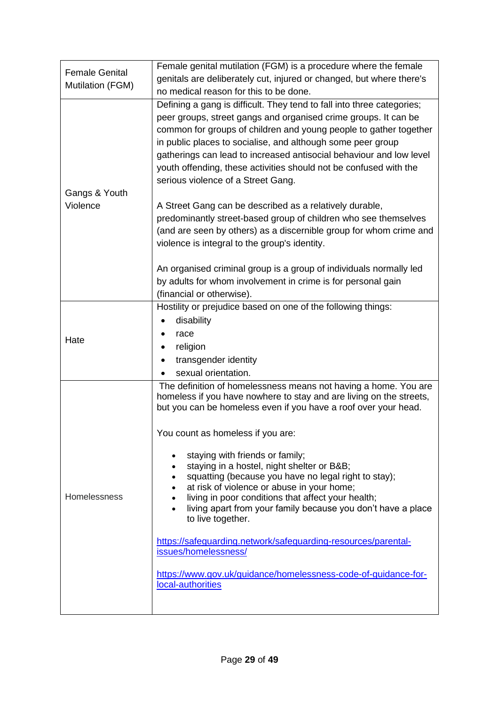| <b>Female Genital</b> | Female genital mutilation (FGM) is a procedure where the female                                                                  |  |  |
|-----------------------|----------------------------------------------------------------------------------------------------------------------------------|--|--|
| Mutilation (FGM)      | genitals are deliberately cut, injured or changed, but where there's                                                             |  |  |
|                       | no medical reason for this to be done.                                                                                           |  |  |
|                       | Defining a gang is difficult. They tend to fall into three categories;                                                           |  |  |
|                       | peer groups, street gangs and organised crime groups. It can be                                                                  |  |  |
|                       | common for groups of children and young people to gather together<br>in public places to socialise, and although some peer group |  |  |
|                       | gatherings can lead to increased antisocial behaviour and low level                                                              |  |  |
|                       | youth offending, these activities should not be confused with the                                                                |  |  |
|                       | serious violence of a Street Gang.                                                                                               |  |  |
| Gangs & Youth         |                                                                                                                                  |  |  |
| Violence              | A Street Gang can be described as a relatively durable,                                                                          |  |  |
|                       | predominantly street-based group of children who see themselves                                                                  |  |  |
|                       | (and are seen by others) as a discernible group for whom crime and                                                               |  |  |
|                       | violence is integral to the group's identity.                                                                                    |  |  |
|                       | An organised criminal group is a group of individuals normally led                                                               |  |  |
|                       | by adults for whom involvement in crime is for personal gain                                                                     |  |  |
|                       | (financial or otherwise).                                                                                                        |  |  |
|                       | Hostility or prejudice based on one of the following things:                                                                     |  |  |
|                       | disability                                                                                                                       |  |  |
|                       | race                                                                                                                             |  |  |
| Hate                  | religion                                                                                                                         |  |  |
|                       | transgender identity                                                                                                             |  |  |
|                       | sexual orientation.                                                                                                              |  |  |
|                       | The definition of homelessness means not having a home. You are                                                                  |  |  |
|                       | homeless if you have nowhere to stay and are living on the streets,                                                              |  |  |
|                       | but you can be homeless even if you have a roof over your head.                                                                  |  |  |
|                       | You count as homeless if you are:                                                                                                |  |  |
|                       |                                                                                                                                  |  |  |
|                       | staying with friends or family;<br>$\bullet$                                                                                     |  |  |
|                       | staying in a hostel, night shelter or B&B<br>squatting (because you have no legal right to stay);                                |  |  |
|                       | at risk of violence or abuse in your home;                                                                                       |  |  |
| Homelessness          | living in poor conditions that affect your health;                                                                               |  |  |
|                       | living apart from your family because you don't have a place                                                                     |  |  |
|                       | to live together.                                                                                                                |  |  |
|                       | https://safeguarding.network/safeguarding-resources/parental-                                                                    |  |  |
|                       | issues/homelessness/                                                                                                             |  |  |
|                       | https://www.gov.uk/guidance/homelessness-code-of-guidance-for-                                                                   |  |  |
|                       | local-authorities                                                                                                                |  |  |
|                       |                                                                                                                                  |  |  |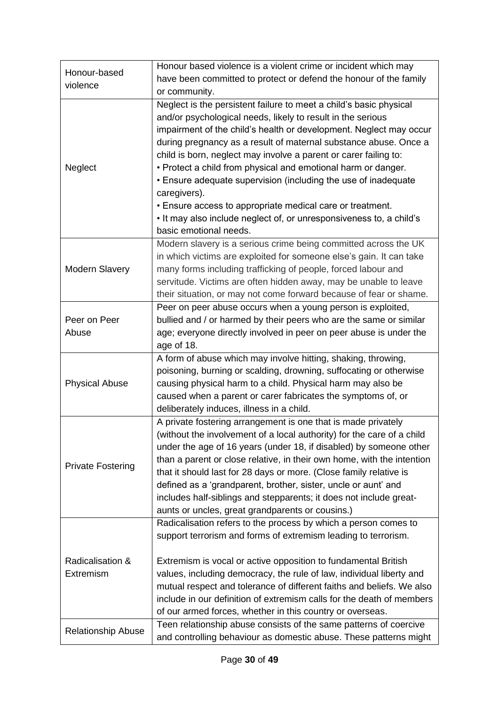|                           | Honour based violence is a violent crime or incident which may         |  |
|---------------------------|------------------------------------------------------------------------|--|
| Honour-based              | have been committed to protect or defend the honour of the family      |  |
| violence                  | or community.                                                          |  |
|                           | Neglect is the persistent failure to meet a child's basic physical     |  |
|                           | and/or psychological needs, likely to result in the serious            |  |
|                           | impairment of the child's health or development. Neglect may occur     |  |
|                           | during pregnancy as a result of maternal substance abuse. Once a       |  |
|                           | child is born, neglect may involve a parent or carer failing to:       |  |
| Neglect                   | • Protect a child from physical and emotional harm or danger.          |  |
|                           | • Ensure adequate supervision (including the use of inadequate         |  |
|                           | caregivers).                                                           |  |
|                           | • Ensure access to appropriate medical care or treatment.              |  |
|                           | . It may also include neglect of, or unresponsiveness to, a child's    |  |
|                           | basic emotional needs.                                                 |  |
|                           | Modern slavery is a serious crime being committed across the UK        |  |
|                           | in which victims are exploited for someone else's gain. It can take    |  |
| <b>Modern Slavery</b>     | many forms including trafficking of people, forced labour and          |  |
|                           |                                                                        |  |
|                           | servitude. Victims are often hidden away, may be unable to leave       |  |
|                           | their situation, or may not come forward because of fear or shame.     |  |
|                           | Peer on peer abuse occurs when a young person is exploited,            |  |
| Peer on Peer              | bullied and / or harmed by their peers who are the same or similar     |  |
| Abuse                     | age; everyone directly involved in peer on peer abuse is under the     |  |
|                           | age of 18.                                                             |  |
|                           | A form of abuse which may involve hitting, shaking, throwing,          |  |
|                           | poisoning, burning or scalding, drowning, suffocating or otherwise     |  |
| <b>Physical Abuse</b>     | causing physical harm to a child. Physical harm may also be            |  |
|                           | caused when a parent or carer fabricates the symptoms of, or           |  |
|                           | deliberately induces, illness in a child.                              |  |
|                           | A private fostering arrangement is one that is made privately          |  |
|                           | (without the involvement of a local authority) for the care of a child |  |
|                           | under the age of 16 years (under 18, if disabled) by someone other     |  |
| <b>Private Fostering</b>  | than a parent or close relative, in their own home, with the intention |  |
|                           | that it should last for 28 days or more. (Close family relative is     |  |
|                           | defined as a 'grandparent, brother, sister, uncle or aunt' and         |  |
|                           | includes half-siblings and stepparents; it does not include great-     |  |
|                           | aunts or uncles, great grandparents or cousins.)                       |  |
|                           | Radicalisation refers to the process by which a person comes to        |  |
|                           | support terrorism and forms of extremism leading to terrorism.         |  |
|                           |                                                                        |  |
| Radicalisation &          | Extremism is vocal or active opposition to fundamental British         |  |
| Extremism                 | values, including democracy, the rule of law, individual liberty and   |  |
|                           | mutual respect and tolerance of different faiths and beliefs. We also  |  |
|                           | include in our definition of extremism calls for the death of members  |  |
|                           | of our armed forces, whether in this country or overseas.              |  |
|                           | Teen relationship abuse consists of the same patterns of coercive      |  |
| <b>Relationship Abuse</b> | and controlling behaviour as domestic abuse. These patterns might      |  |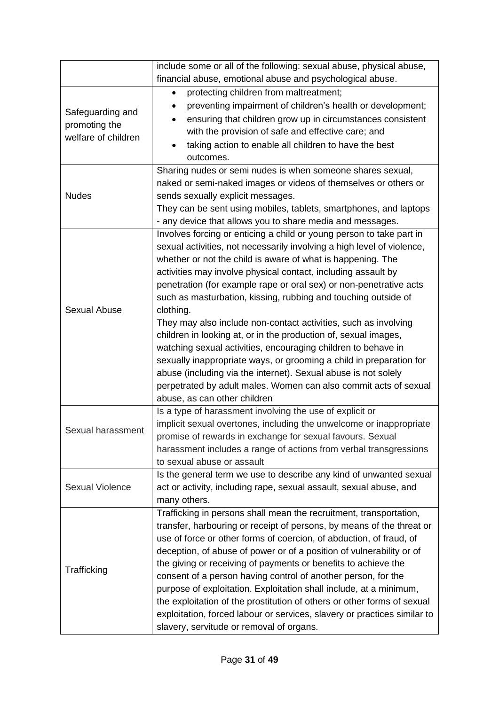|                                      | include some or all of the following: sexual abuse, physical abuse,      |  |  |
|--------------------------------------|--------------------------------------------------------------------------|--|--|
|                                      | financial abuse, emotional abuse and psychological abuse.                |  |  |
|                                      | protecting children from maltreatment;<br>$\bullet$                      |  |  |
| Safeguarding and                     | preventing impairment of children's health or development;               |  |  |
|                                      | ensuring that children grow up in circumstances consistent               |  |  |
| promoting the<br>welfare of children | with the provision of safe and effective care; and                       |  |  |
|                                      | taking action to enable all children to have the best                    |  |  |
|                                      | outcomes.                                                                |  |  |
|                                      | Sharing nudes or semi nudes is when someone shares sexual,               |  |  |
|                                      | naked or semi-naked images or videos of themselves or others or          |  |  |
| <b>Nudes</b>                         | sends sexually explicit messages.                                        |  |  |
|                                      | They can be sent using mobiles, tablets, smartphones, and laptops        |  |  |
|                                      | - any device that allows you to share media and messages.                |  |  |
|                                      | Involves forcing or enticing a child or young person to take part in     |  |  |
|                                      | sexual activities, not necessarily involving a high level of violence,   |  |  |
|                                      | whether or not the child is aware of what is happening. The              |  |  |
|                                      | activities may involve physical contact, including assault by            |  |  |
|                                      | penetration (for example rape or oral sex) or non-penetrative acts       |  |  |
|                                      | such as masturbation, kissing, rubbing and touching outside of           |  |  |
| <b>Sexual Abuse</b>                  | clothing.                                                                |  |  |
|                                      | They may also include non-contact activities, such as involving          |  |  |
|                                      | children in looking at, or in the production of, sexual images,          |  |  |
|                                      | watching sexual activities, encouraging children to behave in            |  |  |
|                                      | sexually inappropriate ways, or grooming a child in preparation for      |  |  |
|                                      | abuse (including via the internet). Sexual abuse is not solely           |  |  |
|                                      | perpetrated by adult males. Women can also commit acts of sexual         |  |  |
|                                      | abuse, as can other children                                             |  |  |
|                                      | Is a type of harassment involving the use of explicit or                 |  |  |
| Sexual harassment                    | implicit sexual overtones, including the unwelcome or inappropriate      |  |  |
|                                      | promise of rewards in exchange for sexual favours. Sexual                |  |  |
|                                      | harassment includes a range of actions from verbal transgressions        |  |  |
|                                      | to sexual abuse or assault                                               |  |  |
|                                      | Is the general term we use to describe any kind of unwanted sexual       |  |  |
| <b>Sexual Violence</b>               | act or activity, including rape, sexual assault, sexual abuse, and       |  |  |
|                                      | many others.                                                             |  |  |
|                                      | Trafficking in persons shall mean the recruitment, transportation,       |  |  |
|                                      | transfer, harbouring or receipt of persons, by means of the threat or    |  |  |
|                                      | use of force or other forms of coercion, of abduction, of fraud, of      |  |  |
| Trafficking                          | deception, of abuse of power or of a position of vulnerability or of     |  |  |
|                                      | the giving or receiving of payments or benefits to achieve the           |  |  |
|                                      | consent of a person having control of another person, for the            |  |  |
|                                      | purpose of exploitation. Exploitation shall include, at a minimum,       |  |  |
|                                      | the exploitation of the prostitution of others or other forms of sexual  |  |  |
|                                      | exploitation, forced labour or services, slavery or practices similar to |  |  |
|                                      | slavery, servitude or removal of organs.                                 |  |  |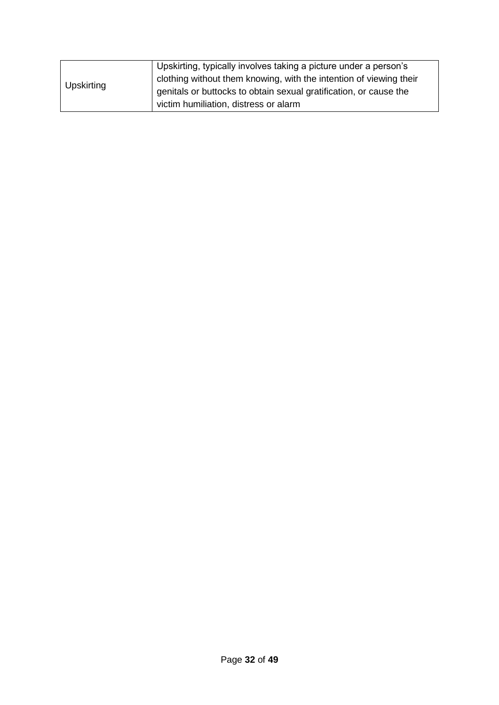| Upskirting | Upskirting, typically involves taking a picture under a person's   |
|------------|--------------------------------------------------------------------|
|            | clothing without them knowing, with the intention of viewing their |
|            | genitals or buttocks to obtain sexual gratification, or cause the  |
|            | victim humiliation, distress or alarm                              |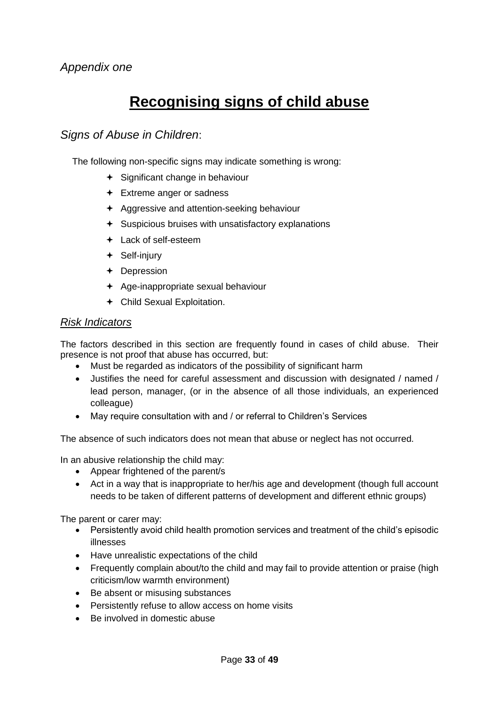### **Recognising signs of child abuse**

#### *Signs of Abuse in Children*:

The following non-specific signs may indicate something is wrong:

- $\div$  Significant change in behaviour
- + Extreme anger or sadness
- **← Aggressive and attention-seeking behaviour**
- $\div$  Suspicious bruises with unsatisfactory explanations
- Lack of self-esteem
- + Self-injury
- Depression
- $\div$  Age-inappropriate sexual behaviour
- Child Sexual Exploitation.

#### *Risk Indicators*

The factors described in this section are frequently found in cases of child abuse. Their presence is not proof that abuse has occurred, but:

- Must be regarded as indicators of the possibility of significant harm
- Justifies the need for careful assessment and discussion with designated / named / lead person, manager, (or in the absence of all those individuals, an experienced colleague)
- May require consultation with and / or referral to Children's Services

The absence of such indicators does not mean that abuse or neglect has not occurred.

In an abusive relationship the child may:

- Appear frightened of the parent/s
- Act in a way that is inappropriate to her/his age and development (though full account needs to be taken of different patterns of development and different ethnic groups)

The parent or carer may:

- Persistently avoid child health promotion services and treatment of the child's episodic illnesses
- Have unrealistic expectations of the child
- Frequently complain about/to the child and may fail to provide attention or praise (high criticism/low warmth environment)
- Be absent or misusing substances
- Persistently refuse to allow access on home visits
- Be involved in domestic abuse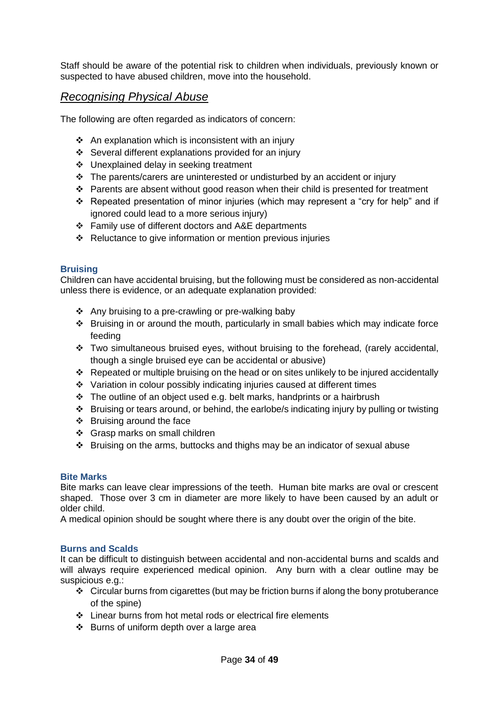Staff should be aware of the potential risk to children when individuals, previously known or suspected to have abused children, move into the household.

#### *Recognising Physical Abuse*

The following are often regarded as indicators of concern:

- ❖ An explanation which is inconsistent with an injury
- ❖ Several different explanations provided for an injury
- ❖ Unexplained delay in seeking treatment
- ❖ The parents/carers are uninterested or undisturbed by an accident or injury
- ❖ Parents are absent without good reason when their child is presented for treatment
- $\div$  Repeated presentation of minor injuries (which may represent a "cry for help" and if ignored could lead to a more serious injury)
- ❖ Family use of different doctors and A&E departments
- ❖ Reluctance to give information or mention previous injuries

#### **Bruising**

Children can have accidental bruising, but the following must be considered as non-accidental unless there is evidence, or an adequate explanation provided:

- ❖ Any bruising to a pre-crawling or pre-walking baby
- ❖ Bruising in or around the mouth, particularly in small babies which may indicate force feeding
- ❖ Two simultaneous bruised eyes, without bruising to the forehead, (rarely accidental, though a single bruised eye can be accidental or abusive)
- ❖ Repeated or multiple bruising on the head or on sites unlikely to be injured accidentally
- ❖ Variation in colour possibly indicating injuries caused at different times
- ❖ The outline of an object used e.g. belt marks, handprints or a hairbrush
- ❖ Bruising or tears around, or behind, the earlobe/s indicating injury by pulling or twisting
- ❖ Bruising around the face
- ❖ Grasp marks on small children
- ❖ Bruising on the arms, buttocks and thighs may be an indicator of sexual abuse

#### **Bite Marks**

Bite marks can leave clear impressions of the teeth. Human bite marks are oval or crescent shaped. Those over 3 cm in diameter are more likely to have been caused by an adult or older child.

A medical opinion should be sought where there is any doubt over the origin of the bite.

#### **Burns and Scalds**

It can be difficult to distinguish between accidental and non-accidental burns and scalds and will always require experienced medical opinion. Any burn with a clear outline may be suspicious e.g.:

- ❖ Circular burns from cigarettes (but may be friction burns if along the bony protuberance of the spine)
- ❖ Linear burns from hot metal rods or electrical fire elements
- ❖ Burns of uniform depth over a large area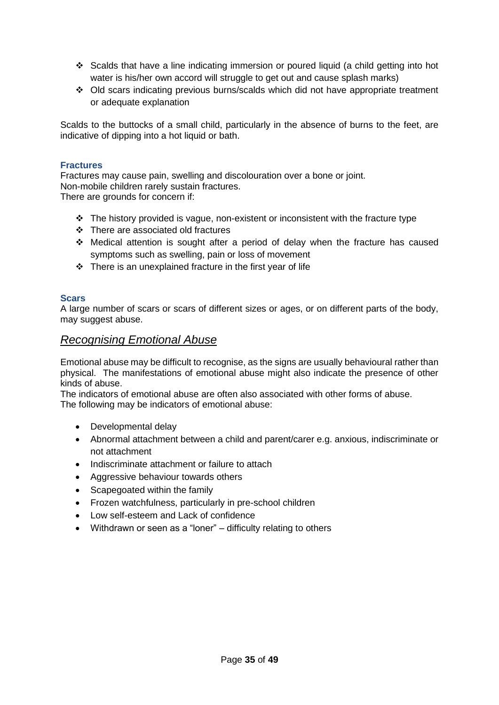- ❖ Scalds that have a line indicating immersion or poured liquid (a child getting into hot water is his/her own accord will struggle to get out and cause splash marks)
- ❖ Old scars indicating previous burns/scalds which did not have appropriate treatment or adequate explanation

Scalds to the buttocks of a small child, particularly in the absence of burns to the feet, are indicative of dipping into a hot liquid or bath.

#### **Fractures**

Fractures may cause pain, swelling and discolouration over a bone or joint. Non-mobile children rarely sustain fractures. There are grounds for concern if:

- $\cdot \cdot$  The history provided is vague, non-existent or inconsistent with the fracture type
- ❖ There are associated old fractures
- ❖ Medical attention is sought after a period of delay when the fracture has caused symptoms such as swelling, pain or loss of movement
- ❖ There is an unexplained fracture in the first year of life

#### **Scars**

A large number of scars or scars of different sizes or ages, or on different parts of the body, may suggest abuse.

#### *Recognising Emotional Abuse*

Emotional abuse may be difficult to recognise, as the signs are usually behavioural rather than physical. The manifestations of emotional abuse might also indicate the presence of other kinds of abuse.

The indicators of emotional abuse are often also associated with other forms of abuse. The following may be indicators of emotional abuse:

- Developmental delay
- Abnormal attachment between a child and parent/carer e.g. anxious, indiscriminate or not attachment
- Indiscriminate attachment or failure to attach
- Aggressive behaviour towards others
- Scapegoated within the family
- Frozen watchfulness, particularly in pre-school children
- Low self-esteem and Lack of confidence
- Withdrawn or seen as a "loner" difficulty relating to others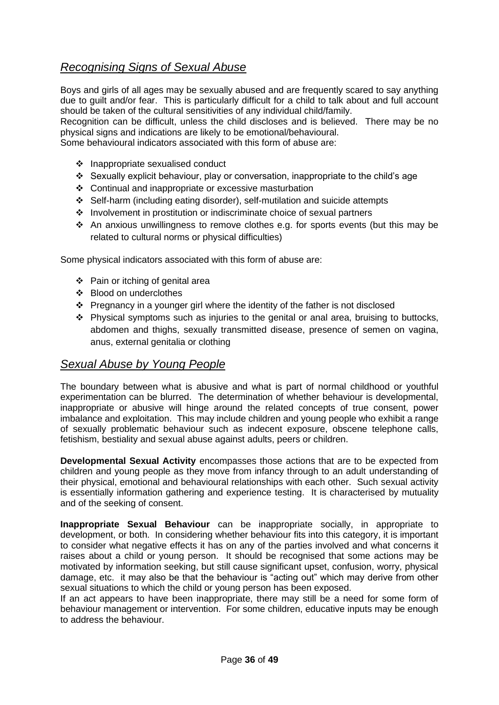### *Recognising Signs of Sexual Abuse*

Boys and girls of all ages may be sexually abused and are frequently scared to say anything due to guilt and/or fear. This is particularly difficult for a child to talk about and full account should be taken of the cultural sensitivities of any individual child/family.

Recognition can be difficult, unless the child discloses and is believed. There may be no physical signs and indications are likely to be emotional/behavioural.

Some behavioural indicators associated with this form of abuse are:

- ❖ Inappropriate sexualised conduct
- ❖ Sexually explicit behaviour, play or conversation, inappropriate to the child's age
- ❖ Continual and inappropriate or excessive masturbation
- ❖ Self-harm (including eating disorder), self-mutilation and suicide attempts
- ❖ Involvement in prostitution or indiscriminate choice of sexual partners
- ❖ An anxious unwillingness to remove clothes e.g. for sports events (but this may be related to cultural norms or physical difficulties)

Some physical indicators associated with this form of abuse are:

- ❖ Pain or itching of genital area
- ❖ Blood on underclothes
- ❖ Pregnancy in a younger girl where the identity of the father is not disclosed
- ❖ Physical symptoms such as injuries to the genital or anal area, bruising to buttocks, abdomen and thighs, sexually transmitted disease, presence of semen on vagina, anus, external genitalia or clothing

#### *Sexual Abuse by Young People*

The boundary between what is abusive and what is part of normal childhood or youthful experimentation can be blurred. The determination of whether behaviour is developmental, inappropriate or abusive will hinge around the related concepts of true consent, power imbalance and exploitation. This may include children and young people who exhibit a range of sexually problematic behaviour such as indecent exposure, obscene telephone calls, fetishism, bestiality and sexual abuse against adults, peers or children.

**Developmental Sexual Activity** encompasses those actions that are to be expected from children and young people as they move from infancy through to an adult understanding of their physical, emotional and behavioural relationships with each other. Such sexual activity is essentially information gathering and experience testing. It is characterised by mutuality and of the seeking of consent.

**Inappropriate Sexual Behaviour** can be inappropriate socially, in appropriate to development, or both. In considering whether behaviour fits into this category, it is important to consider what negative effects it has on any of the parties involved and what concerns it raises about a child or young person. It should be recognised that some actions may be motivated by information seeking, but still cause significant upset, confusion, worry, physical damage, etc. it may also be that the behaviour is "acting out" which may derive from other sexual situations to which the child or young person has been exposed.

If an act appears to have been inappropriate, there may still be a need for some form of behaviour management or intervention. For some children, educative inputs may be enough to address the behaviour.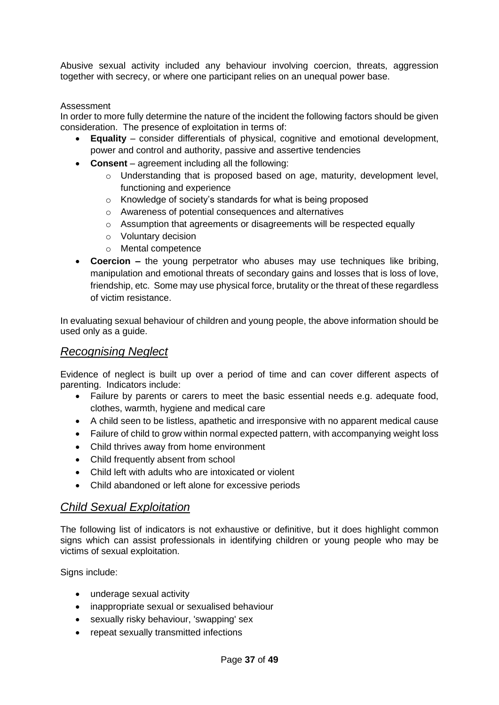Abusive sexual activity included any behaviour involving coercion, threats, aggression together with secrecy, or where one participant relies on an unequal power base.

#### Assessment

In order to more fully determine the nature of the incident the following factors should be given consideration. The presence of exploitation in terms of:

- **Equality** consider differentials of physical, cognitive and emotional development, power and control and authority, passive and assertive tendencies
- **Consent** agreement including all the following:
	- o Understanding that is proposed based on age, maturity, development level, functioning and experience
	- o Knowledge of society's standards for what is being proposed
	- o Awareness of potential consequences and alternatives
	- o Assumption that agreements or disagreements will be respected equally
	- o Voluntary decision
	- o Mental competence
- **Coercion –** the young perpetrator who abuses may use techniques like bribing. manipulation and emotional threats of secondary gains and losses that is loss of love, friendship, etc. Some may use physical force, brutality or the threat of these regardless of victim resistance.

In evaluating sexual behaviour of children and young people, the above information should be used only as a guide.

#### *Recognising Neglect*

Evidence of neglect is built up over a period of time and can cover different aspects of parenting. Indicators include:

- Failure by parents or carers to meet the basic essential needs e.g. adequate food, clothes, warmth, hygiene and medical care
- A child seen to be listless, apathetic and irresponsive with no apparent medical cause
- Failure of child to grow within normal expected pattern, with accompanying weight loss
- Child thrives away from home environment
- Child frequently absent from school
- Child left with adults who are intoxicated or violent
- Child abandoned or left alone for excessive periods

#### *Child Sexual Exploitation*

The following list of indicators is not exhaustive or definitive, but it does highlight common signs which can assist professionals in identifying children or young people who may be victims of sexual exploitation.

Signs include:

- underage sexual activity
- inappropriate sexual or sexualised behaviour
- sexually risky behaviour, 'swapping' sex
- repeat sexually transmitted infections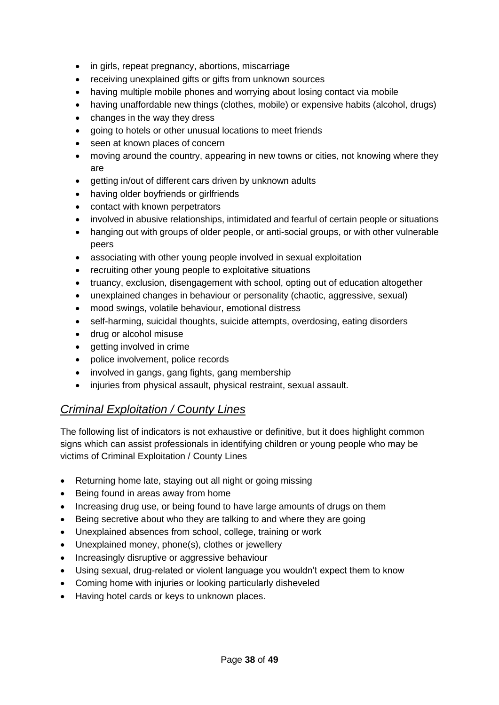- in girls, repeat pregnancy, abortions, miscarriage
- receiving unexplained gifts or gifts from unknown sources
- having multiple mobile phones and worrying about losing contact via mobile
- having unaffordable new things (clothes, mobile) or expensive habits (alcohol, drugs)
- changes in the way they dress
- going to hotels or other unusual locations to meet friends
- seen at known places of concern
- moving around the country, appearing in new towns or cities, not knowing where they are
- getting in/out of different cars driven by unknown adults
- having older boyfriends or girlfriends
- contact with known perpetrators
- involved in abusive relationships, intimidated and fearful of certain people or situations
- hanging out with groups of older people, or anti-social groups, or with other vulnerable peers
- associating with other young people involved in sexual exploitation
- recruiting other young people to exploitative situations
- truancy, exclusion, disengagement with school, opting out of education altogether
- unexplained changes in behaviour or personality (chaotic, aggressive, sexual)
- mood swings, volatile behaviour, emotional distress
- self-harming, suicidal thoughts, suicide attempts, overdosing, eating disorders
- drug or alcohol misuse
- getting involved in crime
- police involvement, police records
- involved in gangs, gang fights, gang membership
- injuries from physical assault, physical restraint, sexual assault.

#### *Criminal Exploitation / County Lines*

The following list of indicators is not exhaustive or definitive, but it does highlight common signs which can assist professionals in identifying children or young people who may be victims of Criminal Exploitation / County Lines

- Returning home late, staying out all night or going missing
- Being found in areas away from home
- Increasing drug use, or being found to have large amounts of drugs on them
- Being secretive about who they are talking to and where they are going
- Unexplained absences from school, college, training or work
- Unexplained money, phone(s), clothes or jewellery
- Increasingly disruptive or aggressive behaviour
- Using sexual, drug-related or violent language you wouldn't expect them to know
- Coming home with injuries or looking particularly disheveled
- Having hotel cards or keys to unknown places.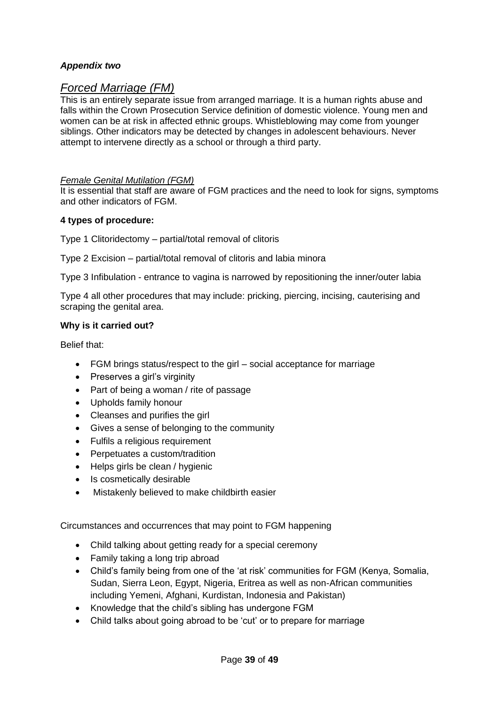#### *Appendix two*

#### *Forced Marriage (FM)*

This is an entirely separate issue from arranged marriage. It is a human rights abuse and falls within the Crown Prosecution Service definition of domestic violence. Young men and women can be at risk in affected ethnic groups. Whistleblowing may come from younger siblings. Other indicators may be detected by changes in adolescent behaviours. Never attempt to intervene directly as a school or through a third party.

#### *Female Genital Mutilation (FGM)*

It is essential that staff are aware of FGM practices and the need to look for signs, symptoms and other indicators of FGM.

#### **4 types of procedure:**

Type 1 Clitoridectomy – partial/total removal of clitoris

Type 2 Excision – partial/total removal of clitoris and labia minora

Type 3 Infibulation - entrance to vagina is narrowed by repositioning the inner/outer labia

Type 4 all other procedures that may include: pricking, piercing, incising, cauterising and scraping the genital area.

#### **Why is it carried out?**

Belief that:

- FGM brings status/respect to the girl social acceptance for marriage
- Preserves a girl's virginity
- Part of being a woman / rite of passage
- Upholds family honour
- Cleanses and purifies the girl
- Gives a sense of belonging to the community
- Fulfils a religious requirement
- Perpetuates a custom/tradition
- Helps girls be clean / hygienic
- Is cosmetically desirable
- Mistakenly believed to make childbirth easier

Circumstances and occurrences that may point to FGM happening

- Child talking about getting ready for a special ceremony
- Family taking a long trip abroad
- Child's family being from one of the 'at risk' communities for FGM (Kenya, Somalia, Sudan, Sierra Leon, Egypt, Nigeria, Eritrea as well as non-African communities including Yemeni, Afghani, Kurdistan, Indonesia and Pakistan)
- Knowledge that the child's sibling has undergone FGM
- Child talks about going abroad to be 'cut' or to prepare for marriage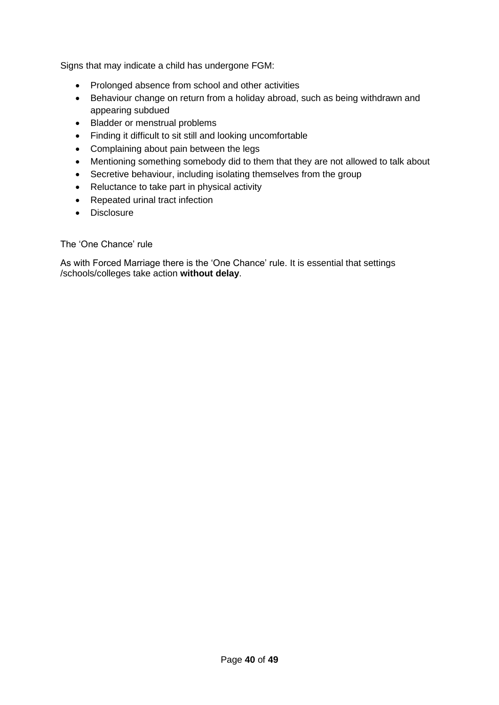Signs that may indicate a child has undergone FGM:

- Prolonged absence from school and other activities
- Behaviour change on return from a holiday abroad, such as being withdrawn and appearing subdued
- Bladder or menstrual problems
- Finding it difficult to sit still and looking uncomfortable
- Complaining about pain between the legs
- Mentioning something somebody did to them that they are not allowed to talk about
- Secretive behaviour, including isolating themselves from the group
- Reluctance to take part in physical activity
- Repeated urinal tract infection
- Disclosure

#### The 'One Chance' rule

As with Forced Marriage there is the 'One Chance' rule. It is essential that settings /schools/colleges take action **without delay**.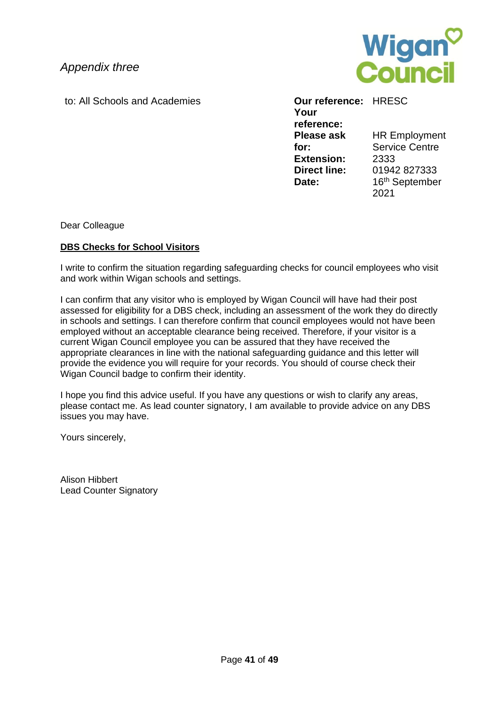*Appendix three*



to: All Schools and Academies **Our reference:** HRESC

#### **Your reference: Please ask for:** HR Employment Service Centre **Extension:** 2333 **Direct line:** 01942 827333 Date: 16<sup>th</sup> September 2021

Dear Colleague

#### **DBS Checks for School Visitors**

I write to confirm the situation regarding safeguarding checks for council employees who visit and work within Wigan schools and settings.

I can confirm that any visitor who is employed by Wigan Council will have had their post assessed for eligibility for a DBS check, including an assessment of the work they do directly in schools and settings. I can therefore confirm that council employees would not have been employed without an acceptable clearance being received. Therefore, if your visitor is a current Wigan Council employee you can be assured that they have received the appropriate clearances in line with the national safeguarding guidance and this letter will provide the evidence you will require for your records. You should of course check their Wigan Council badge to confirm their identity.

I hope you find this advice useful. If you have any questions or wish to clarify any areas, please contact me. As lead counter signatory, I am available to provide advice on any DBS issues you may have.

Yours sincerely,

Alison Hibbert Lead Counter Signatory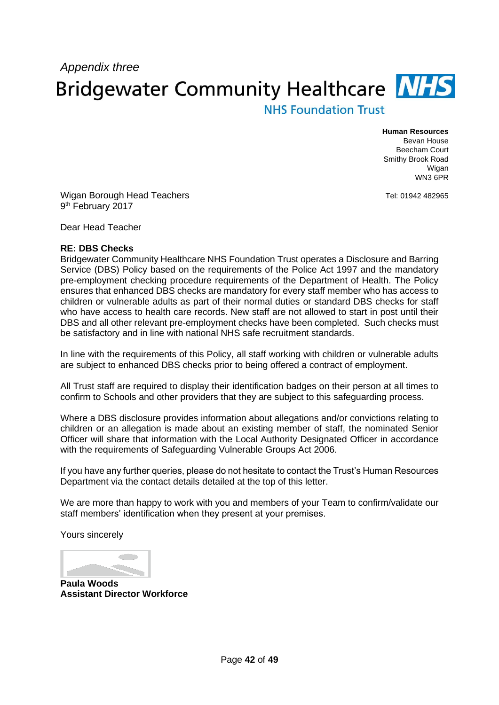# *Appendix three* **Bridgewater Community Healthcare NHS**

### **NHS Foundation Trust**

**Human Resources** Bevan House Beecham Court Smithy Brook Road Wigan WN3 6PR

Tel: 01942 482965

Wigan Borough Head Teachers 9<sup>th</sup> February 2017

Dear Head Teacher

#### **RE: DBS Checks**

Bridgewater Community Healthcare NHS Foundation Trust operates a Disclosure and Barring Service (DBS) Policy based on the requirements of the Police Act 1997 and the mandatory pre-employment checking procedure requirements of the Department of Health. The Policy ensures that enhanced DBS checks are mandatory for every staff member who has access to children or vulnerable adults as part of their normal duties or standard DBS checks for staff who have access to health care records. New staff are not allowed to start in post until their DBS and all other relevant pre-employment checks have been completed. Such checks must be satisfactory and in line with national NHS safe recruitment standards.

In line with the requirements of this Policy, all staff working with children or vulnerable adults are subject to enhanced DBS checks prior to being offered a contract of employment.

All Trust staff are required to display their identification badges on their person at all times to confirm to Schools and other providers that they are subject to this safeguarding process.

Where a DBS disclosure provides information about allegations and/or convictions relating to children or an allegation is made about an existing member of staff, the nominated Senior Officer will share that information with the Local Authority Designated Officer in accordance with the requirements of Safeguarding Vulnerable Groups Act 2006.

If you have any further queries, please do not hesitate to contact the Trust's Human Resources Department via the contact details detailed at the top of this letter.

We are more than happy to work with you and members of your Team to confirm/validate our staff members' identification when they present at your premises.

Yours sincerely

**Paula Woods Assistant Director Workforce**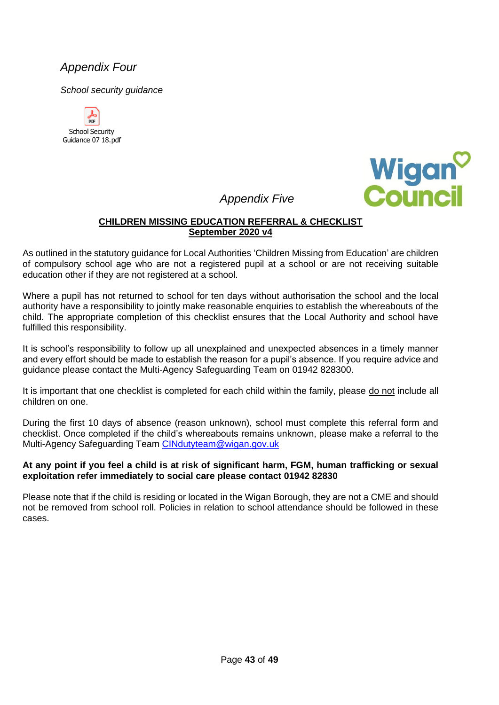### *Appendix Four*

*School security guidance* 





### *Appendix Five*

#### **CHILDREN MISSING EDUCATION REFERRAL & CHECKLIST September 2020 v4**

As outlined in the statutory guidance for Local Authorities 'Children Missing from Education' are children of compulsory school age who are not a registered pupil at a school or are not receiving suitable education other if they are not registered at a school.

Where a pupil has not returned to school for ten days without authorisation the school and the local authority have a responsibility to jointly make reasonable enquiries to establish the whereabouts of the child. The appropriate completion of this checklist ensures that the Local Authority and school have fulfilled this responsibility.

It is school's responsibility to follow up all unexplained and unexpected absences in a timely manner and every effort should be made to establish the reason for a pupil's absence. If you require advice and guidance please contact the Multi-Agency Safeguarding Team on 01942 828300.

It is important that one checklist is completed for each child within the family, please do not include all children on one.

During the first 10 days of absence (reason unknown), school must complete this referral form and checklist. Once completed if the child's whereabouts remains unknown, please make a referral to the Multi-Agency Safeguarding Team [CINdutyteam@wigan.gov.uk](mailto:CINdutyteam@wigan.gov.uk)

#### **At any point if you feel a child is at risk of significant harm, FGM, human trafficking or sexual exploitation refer immediately to social care please contact 01942 82830**

Please note that if the child is residing or located in the Wigan Borough, they are not a CME and should not be removed from school roll. Policies in relation to school attendance should be followed in these cases.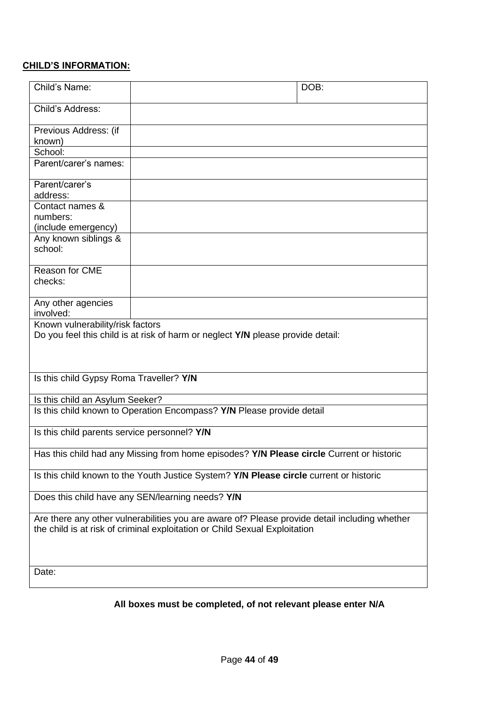#### **CHILD'S INFORMATION:**

| Child's Name:                                                                                                                                                               | DOB:                                                                            |  |
|-----------------------------------------------------------------------------------------------------------------------------------------------------------------------------|---------------------------------------------------------------------------------|--|
| Child's Address:                                                                                                                                                            |                                                                                 |  |
| Previous Address: (if<br>known)                                                                                                                                             |                                                                                 |  |
| School:                                                                                                                                                                     |                                                                                 |  |
| Parent/carer's names:                                                                                                                                                       |                                                                                 |  |
| Parent/carer's<br>address:                                                                                                                                                  |                                                                                 |  |
| Contact names &<br>numbers:                                                                                                                                                 |                                                                                 |  |
| (include emergency)                                                                                                                                                         |                                                                                 |  |
| Any known siblings &<br>school:                                                                                                                                             |                                                                                 |  |
| Reason for CME<br>checks:                                                                                                                                                   |                                                                                 |  |
| Any other agencies<br>involved:                                                                                                                                             |                                                                                 |  |
| Known vulnerability/risk factors                                                                                                                                            | Do you feel this child is at risk of harm or neglect Y/N please provide detail: |  |
| Is this child Gypsy Roma Traveller? Y/N                                                                                                                                     |                                                                                 |  |
| Is this child an Asylum Seeker?                                                                                                                                             |                                                                                 |  |
| Is this child known to Operation Encompass? Y/N Please provide detail                                                                                                       |                                                                                 |  |
| Is this child parents service personnel? Y/N                                                                                                                                |                                                                                 |  |
| Has this child had any Missing from home episodes? Y/N Please circle Current or historic                                                                                    |                                                                                 |  |
| Is this child known to the Youth Justice System? Y/N Please circle current or historic                                                                                      |                                                                                 |  |
| Does this child have any SEN/learning needs? Y/N                                                                                                                            |                                                                                 |  |
| Are there any other vulnerabilities you are aware of? Please provide detail including whether<br>the child is at risk of criminal exploitation or Child Sexual Exploitation |                                                                                 |  |
| Date:                                                                                                                                                                       |                                                                                 |  |
|                                                                                                                                                                             |                                                                                 |  |

### **All boxes must be completed, of not relevant please enter N/A**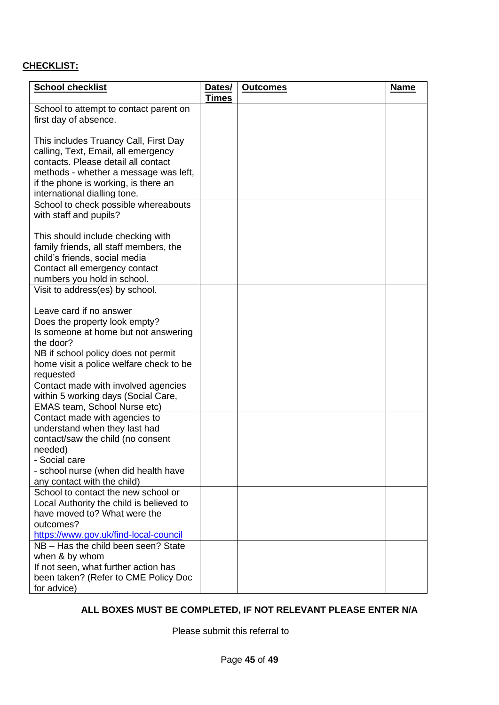### **CHECKLIST:**

| <b>School checklist</b>                  | Dates/<br><b>Times</b> | <b>Outcomes</b> | <b>Name</b> |
|------------------------------------------|------------------------|-----------------|-------------|
| School to attempt to contact parent on   |                        |                 |             |
| first day of absence.                    |                        |                 |             |
|                                          |                        |                 |             |
| This includes Truancy Call, First Day    |                        |                 |             |
| calling, Text, Email, all emergency      |                        |                 |             |
| contacts. Please detail all contact      |                        |                 |             |
| methods - whether a message was left,    |                        |                 |             |
| if the phone is working, is there an     |                        |                 |             |
| international dialling tone.             |                        |                 |             |
| School to check possible whereabouts     |                        |                 |             |
| with staff and pupils?                   |                        |                 |             |
|                                          |                        |                 |             |
| This should include checking with        |                        |                 |             |
| family friends, all staff members, the   |                        |                 |             |
| child's friends, social media            |                        |                 |             |
| Contact all emergency contact            |                        |                 |             |
| numbers you hold in school.              |                        |                 |             |
| Visit to address(es) by school.          |                        |                 |             |
|                                          |                        |                 |             |
| Leave card if no answer                  |                        |                 |             |
| Does the property look empty?            |                        |                 |             |
| Is someone at home but not answering     |                        |                 |             |
| the door?                                |                        |                 |             |
| NB if school policy does not permit      |                        |                 |             |
| home visit a police welfare check to be  |                        |                 |             |
| requested                                |                        |                 |             |
| Contact made with involved agencies      |                        |                 |             |
| within 5 working days (Social Care,      |                        |                 |             |
| EMAS team, School Nurse etc)             |                        |                 |             |
| Contact made with agencies to            |                        |                 |             |
| understand when they last had            |                        |                 |             |
| contact/saw the child (no consent        |                        |                 |             |
| needed)                                  |                        |                 |             |
| - Social care                            |                        |                 |             |
| - school nurse (when did health have     |                        |                 |             |
| any contact with the child)              |                        |                 |             |
| School to contact the new school or      |                        |                 |             |
| Local Authority the child is believed to |                        |                 |             |
| have moved to? What were the             |                        |                 |             |
| outcomes?                                |                        |                 |             |
| https://www.gov.uk/find-local-council    |                        |                 |             |
| NB - Has the child been seen? State      |                        |                 |             |
| when & by whom                           |                        |                 |             |
| If not seen, what further action has     |                        |                 |             |
| been taken? (Refer to CME Policy Doc     |                        |                 |             |
| for advice)                              |                        |                 |             |

#### **ALL BOXES MUST BE COMPLETED, IF NOT RELEVANT PLEASE ENTER N/A**

Please submit this referral to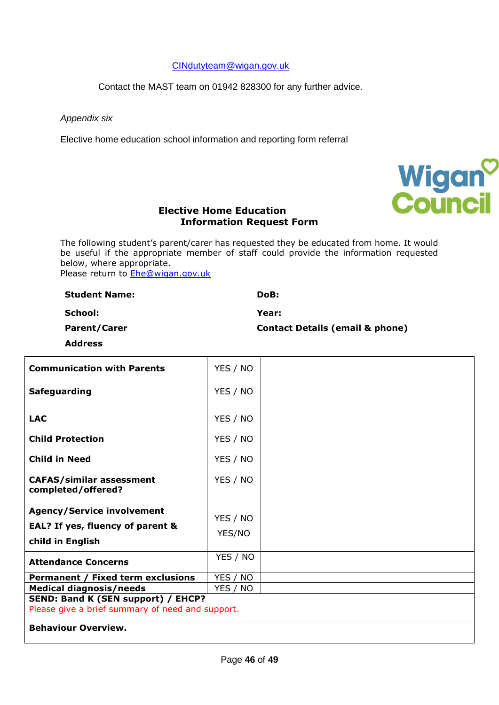[CINdutyteam@wigan.gov.uk](mailto:CINdutyteam@wigan.gov.uk)

Contact the MAST team on 01942 828300 for any further advice.

*Appendix six*

Elective home education school information and reporting form referral



#### **Elective Home Education Information Request Form**

The following student's parent/carer has requested they be educated from home. It would be useful if the appropriate member of staff could provide the information requested below, where appropriate. Please return to [Ehe@wigan.gov.uk](mailto:Ehe@wigan.gov.uk)

**Student Name: DoB:** 

**Parent/Carer** 

**Year:**

**School:** 

**Contact Details (email & phone)**

**Address**

| <b>Communication with Parents</b>                                                      | YES / NO |  |
|----------------------------------------------------------------------------------------|----------|--|
| <b>Safeguarding</b>                                                                    | YES / NO |  |
| <b>LAC</b>                                                                             | YES / NO |  |
| <b>Child Protection</b>                                                                | YES / NO |  |
| <b>Child in Need</b>                                                                   | YES / NO |  |
| <b>CAFAS/similar assessment</b><br>completed/offered?                                  | YES / NO |  |
| <b>Agency/Service involvement</b>                                                      | YES / NO |  |
| EAL? If yes, fluency of parent &                                                       | YES/NO   |  |
| child in English                                                                       |          |  |
| <b>Attendance Concerns</b>                                                             | YES / NO |  |
| Permanent / Fixed term exclusions                                                      | YES / NO |  |
| <b>Medical diagnosis/needs</b><br>YES / NO                                             |          |  |
| SEND: Band K (SEN support) / EHCP?<br>Please give a brief summary of need and support. |          |  |
| <b>Behaviour Overview.</b>                                                             |          |  |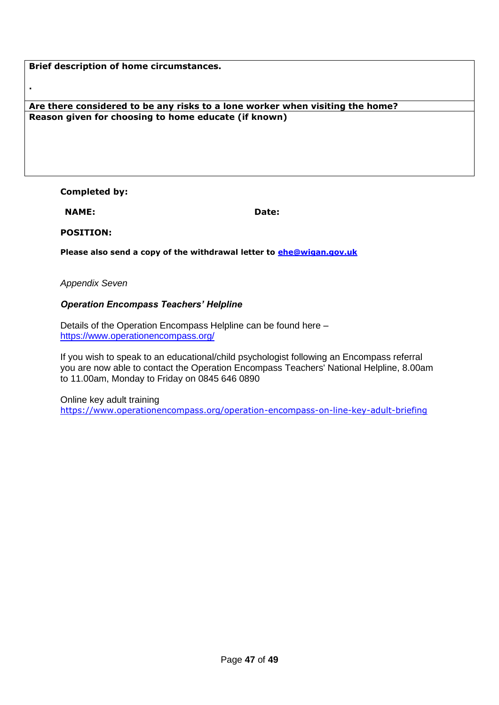#### **Are there considered to be any risks to a lone worker when visiting the home? Reason given for choosing to home educate (if known)**

#### **Completed by:**

**NAME:** 

**.**

**Date:** 

**POSITION:**

**Please also send a copy of the withdrawal letter to [ehe@wigan.gov.uk](mailto:ehe@wigan.gov.uk)**

*Appendix Seven*

#### *Operation Encompass Teachers' Helpline*

Details of the Operation Encompass Helpline can be found here – [https://www.operationencompass.org/](https://clicktime.symantec.com/32Dmbd7Az9xu8FDh5Kma4h76H2?u=https%3A%2F%2Fwww.operationencompass.org%2F)

If you wish to speak to an educational/child psychologist following an Encompass referral you are now able to contact the Operation Encompass Teachers' National Helpline, 8.00am to 11.00am, Monday to Friday on 0845 646 0890

Online key adult training <https://www.operationencompass.org/operation-encompass-on-line-key-adult-briefing>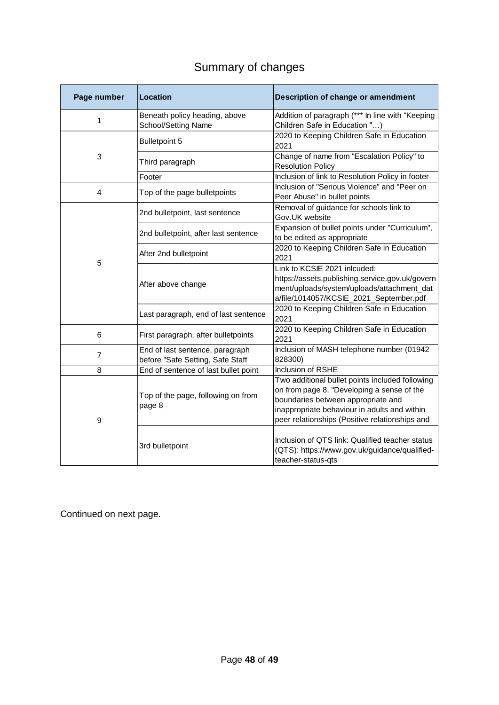### Summary of changes

| Page number    | Location                                                            | Description of change or amendment                                                                                                                                                                                                    |
|----------------|---------------------------------------------------------------------|---------------------------------------------------------------------------------------------------------------------------------------------------------------------------------------------------------------------------------------|
| 1              | Beneath policy heading, above<br>School/Setting Name                | Addition of paragraph (*** In line with "Keeping<br>Children Safe in Education ")                                                                                                                                                     |
|                | Bulletpoint 5                                                       | 2020 to Keeping Children Safe in Education<br>2021                                                                                                                                                                                    |
| 3              | Third paragraph                                                     | Change of name from "Escalation Policy" to<br><b>Resolution Policy</b>                                                                                                                                                                |
|                | Footer                                                              | Inclusion of link to Resolution Policy in footer                                                                                                                                                                                      |
| 4              | Top of the page bulletpoints                                        | Inclusion of "Serious Violence" and "Peer on<br>Peer Abuse" in bullet points                                                                                                                                                          |
|                | 2nd bulletpoint, last sentence                                      | Removal of guidance for schools link to<br>Gov.UK website                                                                                                                                                                             |
|                | 2nd bulletpoint, after last sentence                                | Expansion of bullet points under "Curriculum",<br>to be edited as appropriate                                                                                                                                                         |
|                | After 2nd bulletpoint                                               | 2020 to Keeping Children Safe in Education<br>2021                                                                                                                                                                                    |
| 5              | After above change                                                  | Link to KCSIE 2021 inlcuded:<br>https://assets.publishing.service.gov.uk/govern<br>ment/uploads/system/uploads/attachment_dat<br>a/file/1014057/KCSIE_2021_September.pdf                                                              |
|                | Last paragraph, end of last sentence                                | 2020 to Keeping Children Safe in Education<br>2021                                                                                                                                                                                    |
| 6              | First paragraph, after bulletpoints                                 | 2020 to Keeping Children Safe in Education<br>2021                                                                                                                                                                                    |
| $\overline{7}$ | End of last sentence, paragraph<br>before "Safe Setting, Safe Staff | Inclusion of MASH telephone number (01942<br>828300)                                                                                                                                                                                  |
| 8              | End of sentence of last bullet point                                | <b>Inclusion of RSHE</b>                                                                                                                                                                                                              |
| 9              | Top of the page, following on from<br>page 8                        | Two additional bullet points included following<br>on from page 8. "Developing a sense of the<br>boundaries between appropriate and<br>inappropriate behaviour in adults and within<br>peer relationships (Positive relationships and |
|                | 3rd bulletpoint                                                     | Inclusion of QTS link: Qualified teacher status<br>(QTS): https://www.gov.uk/guidance/qualified-<br>teacher-status-gts                                                                                                                |

Continued on next page.